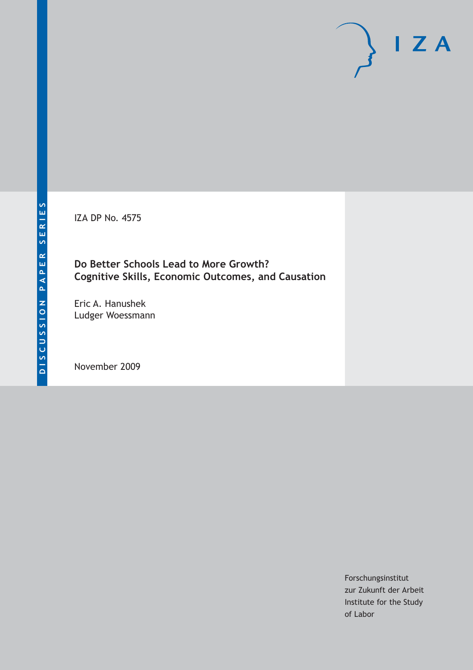IZA DP No. 4575

### **Do Better Schools Lead to More Growth? Cognitive Skills, Economic Outcomes, and Causation**

Eric A. Hanushek Ludger Woessmann

November 2009

Forschungsinstitut zur Zukunft der Arbeit Institute for the Study of Labor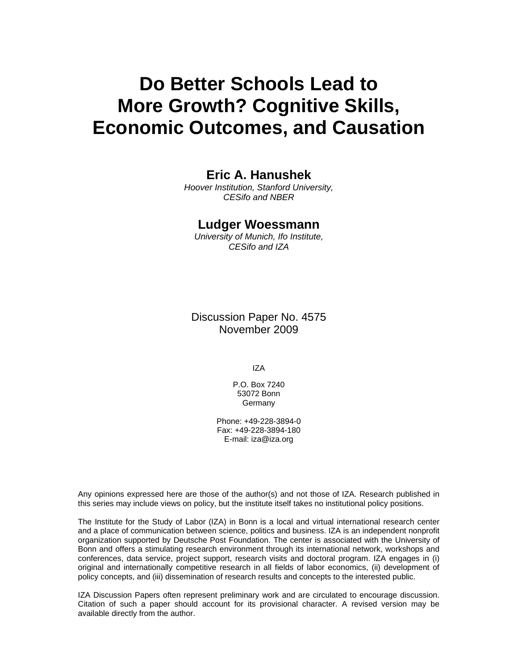# **Do Better Schools Lead to More Growth? Cognitive Skills, Economic Outcomes, and Causation**

### **Eric A. Hanushek**

*Hoover Institution, Stanford University, CESifo and NBER* 

#### **Ludger Woessmann**

*University of Munich, Ifo Institute, CESifo and IZA* 

Discussion Paper No. 4575 November 2009

IZA

P.O. Box 7240 53072 Bonn Germany

Phone: +49-228-3894-0 Fax: +49-228-3894-180 E-mail: iza@iza.org

Any opinions expressed here are those of the author(s) and not those of IZA. Research published in this series may include views on policy, but the institute itself takes no institutional policy positions.

The Institute for the Study of Labor (IZA) in Bonn is a local and virtual international research center and a place of communication between science, politics and business. IZA is an independent nonprofit organization supported by Deutsche Post Foundation. The center is associated with the University of Bonn and offers a stimulating research environment through its international network, workshops and conferences, data service, project support, research visits and doctoral program. IZA engages in (i) original and internationally competitive research in all fields of labor economics, (ii) development of policy concepts, and (iii) dissemination of research results and concepts to the interested public.

IZA Discussion Papers often represent preliminary work and are circulated to encourage discussion. Citation of such a paper should account for its provisional character. A revised version may be available directly from the author.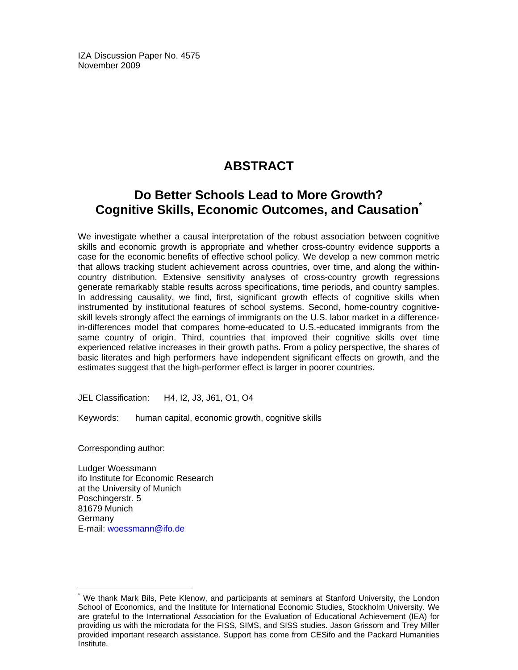IZA Discussion Paper No. 4575 November 2009

# **ABSTRACT**

# **Do Better Schools Lead to More Growth? Cognitive Skills, Economic Outcomes, and Causation\***

We investigate whether a causal interpretation of the robust association between cognitive skills and economic growth is appropriate and whether cross-country evidence supports a case for the economic benefits of effective school policy. We develop a new common metric that allows tracking student achievement across countries, over time, and along the withincountry distribution. Extensive sensitivity analyses of cross-country growth regressions generate remarkably stable results across specifications, time periods, and country samples. In addressing causality, we find, first, significant growth effects of cognitive skills when instrumented by institutional features of school systems. Second, home-country cognitiveskill levels strongly affect the earnings of immigrants on the U.S. labor market in a differencein-differences model that compares home-educated to U.S.-educated immigrants from the same country of origin. Third, countries that improved their cognitive skills over time experienced relative increases in their growth paths. From a policy perspective, the shares of basic literates and high performers have independent significant effects on growth, and the estimates suggest that the high-performer effect is larger in poorer countries.

JEL Classification: H4, I2, J3, J61, O1, O4

Keywords: human capital, economic growth, cognitive skills

Corresponding author:

-

Ludger Woessmann ifo Institute for Economic Research at the University of Munich Poschingerstr. 5 81679 Munich **Germany** E-mail: woessmann@ifo.de

<sup>\*</sup> We thank Mark Bils, Pete Klenow, and participants at seminars at Stanford University, the London School of Economics, and the Institute for International Economic Studies, Stockholm University. We are grateful to the International Association for the Evaluation of Educational Achievement (IEA) for providing us with the microdata for the FISS, SIMS, and SISS studies. Jason Grissom and Trey Miller provided important research assistance. Support has come from CESifo and the Packard Humanities Institute.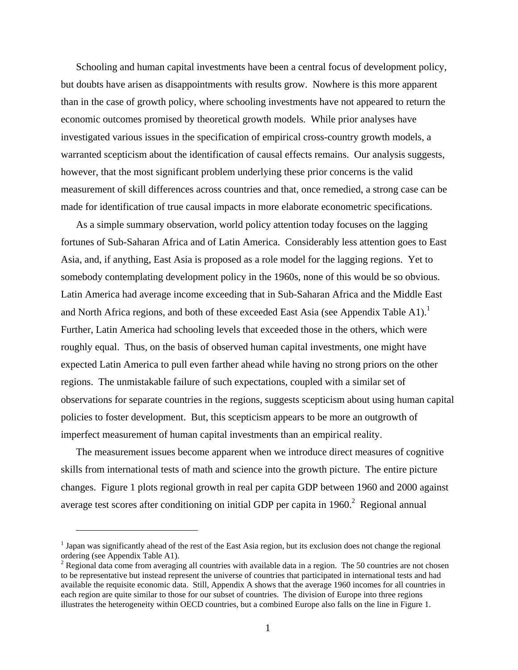Schooling and human capital investments have been a central focus of development policy, but doubts have arisen as disappointments with results grow. Nowhere is this more apparent than in the case of growth policy, where schooling investments have not appeared to return the economic outcomes promised by theoretical growth models. While prior analyses have investigated various issues in the specification of empirical cross-country growth models, a warranted scepticism about the identification of causal effects remains. Our analysis suggests, however, that the most significant problem underlying these prior concerns is the valid measurement of skill differences across countries and that, once remedied, a strong case can be made for identification of true causal impacts in more elaborate econometric specifications.

As a simple summary observation, world policy attention today focuses on the lagging fortunes of Sub-Saharan Africa and of Latin America. Considerably less attention goes to East Asia, and, if anything, East Asia is proposed as a role model for the lagging regions. Yet to somebody contemplating development policy in the 1960s, none of this would be so obvious. Latin America had average income exceeding that in Sub-Saharan Africa and the Middle East and North Africa regions, and both of these exceeded East Asia (see Appendix Table A1).<sup>1</sup> Further, Latin America had schooling levels that exceeded those in the others, which were roughly equal. Thus, on the basis of observed human capital investments, one might have expected Latin America to pull even farther ahead while having no strong priors on the other regions. The unmistakable failure of such expectations, coupled with a similar set of observations for separate countries in the regions, suggests scepticism about using human capital policies to foster development. But, this scepticism appears to be more an outgrowth of imperfect measurement of human capital investments than an empirical reality.

The measurement issues become apparent when we introduce direct measures of cognitive skills from international tests of math and science into the growth picture. The entire picture changes. Figure 1 plots regional growth in real per capita GDP between 1960 and 2000 against average test scores after conditioning on initial GDP per capita in  $1960<sup>2</sup>$  Regional annual

<u>.</u>

<sup>&</sup>lt;sup>1</sup> Japan was significantly ahead of the rest of the East Asia region, but its exclusion does not change the regional ordering (see Appendix Table A1).

 $2^2$  Regional data come from averaging all countries with available data in a region. The 50 countries are not chosen to be representative but instead represent the universe of countries that participated in international tests and had available the requisite economic data. Still, Appendix A shows that the average 1960 incomes for all countries in each region are quite similar to those for our subset of countries. The division of Europe into three regions illustrates the heterogeneity within OECD countries, but a combined Europe also falls on the line in Figure 1.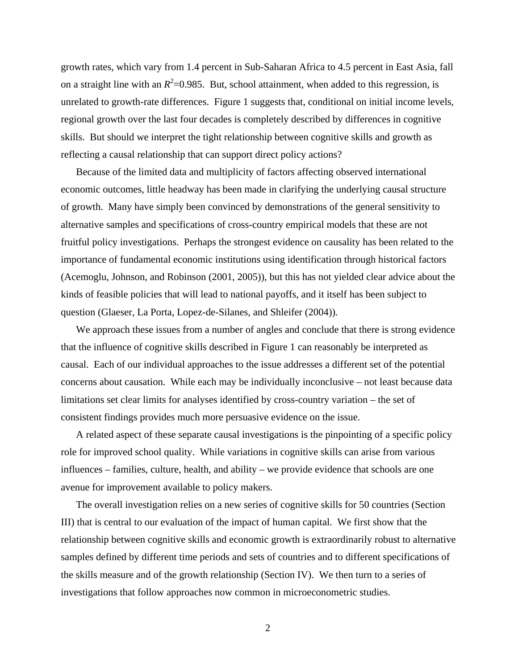growth rates, which vary from 1.4 percent in Sub-Saharan Africa to 4.5 percent in East Asia, fall on a straight line with an  $R^2$ =0.985. But, school attainment, when added to this regression, is unrelated to growth-rate differences. Figure 1 suggests that, conditional on initial income levels, regional growth over the last four decades is completely described by differences in cognitive skills. But should we interpret the tight relationship between cognitive skills and growth as reflecting a causal relationship that can support direct policy actions?

Because of the limited data and multiplicity of factors affecting observed international economic outcomes, little headway has been made in clarifying the underlying causal structure of growth. Many have simply been convinced by demonstrations of the general sensitivity to alternative samples and specifications of cross-country empirical models that these are not fruitful policy investigations. Perhaps the strongest evidence on causality has been related to the importance of fundamental economic institutions using identification through historical factors (Acemoglu, Johnson, and Robinson (2001, 2005)), but this has not yielded clear advice about the kinds of feasible policies that will lead to national payoffs, and it itself has been subject to question (Glaeser, La Porta, Lopez-de-Silanes, and Shleifer (2004)).

We approach these issues from a number of angles and conclude that there is strong evidence that the influence of cognitive skills described in Figure 1 can reasonably be interpreted as causal. Each of our individual approaches to the issue addresses a different set of the potential concerns about causation. While each may be individually inconclusive – not least because data limitations set clear limits for analyses identified by cross-country variation – the set of consistent findings provides much more persuasive evidence on the issue.

A related aspect of these separate causal investigations is the pinpointing of a specific policy role for improved school quality. While variations in cognitive skills can arise from various influences – families, culture, health, and ability – we provide evidence that schools are one avenue for improvement available to policy makers.

The overall investigation relies on a new series of cognitive skills for 50 countries (Section III) that is central to our evaluation of the impact of human capital. We first show that the relationship between cognitive skills and economic growth is extraordinarily robust to alternative samples defined by different time periods and sets of countries and to different specifications of the skills measure and of the growth relationship (Section IV). We then turn to a series of investigations that follow approaches now common in microeconometric studies.

 $\mathcal{L}$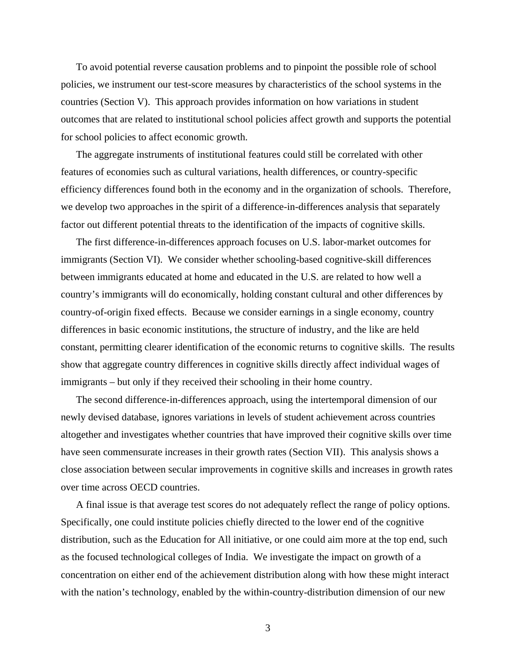To avoid potential reverse causation problems and to pinpoint the possible role of school policies, we instrument our test-score measures by characteristics of the school systems in the countries (Section V). This approach provides information on how variations in student outcomes that are related to institutional school policies affect growth and supports the potential for school policies to affect economic growth.

The aggregate instruments of institutional features could still be correlated with other features of economies such as cultural variations, health differences, or country-specific efficiency differences found both in the economy and in the organization of schools. Therefore, we develop two approaches in the spirit of a difference-in-differences analysis that separately factor out different potential threats to the identification of the impacts of cognitive skills.

The first difference-in-differences approach focuses on U.S. labor-market outcomes for immigrants (Section VI). We consider whether schooling-based cognitive-skill differences between immigrants educated at home and educated in the U.S. are related to how well a country's immigrants will do economically, holding constant cultural and other differences by country-of-origin fixed effects. Because we consider earnings in a single economy, country differences in basic economic institutions, the structure of industry, and the like are held constant, permitting clearer identification of the economic returns to cognitive skills. The results show that aggregate country differences in cognitive skills directly affect individual wages of immigrants – but only if they received their schooling in their home country.

The second difference-in-differences approach, using the intertemporal dimension of our newly devised database, ignores variations in levels of student achievement across countries altogether and investigates whether countries that have improved their cognitive skills over time have seen commensurate increases in their growth rates (Section VII). This analysis shows a close association between secular improvements in cognitive skills and increases in growth rates over time across OECD countries.

A final issue is that average test scores do not adequately reflect the range of policy options. Specifically, one could institute policies chiefly directed to the lower end of the cognitive distribution, such as the Education for All initiative, or one could aim more at the top end, such as the focused technological colleges of India. We investigate the impact on growth of a concentration on either end of the achievement distribution along with how these might interact with the nation's technology, enabled by the within-country-distribution dimension of our new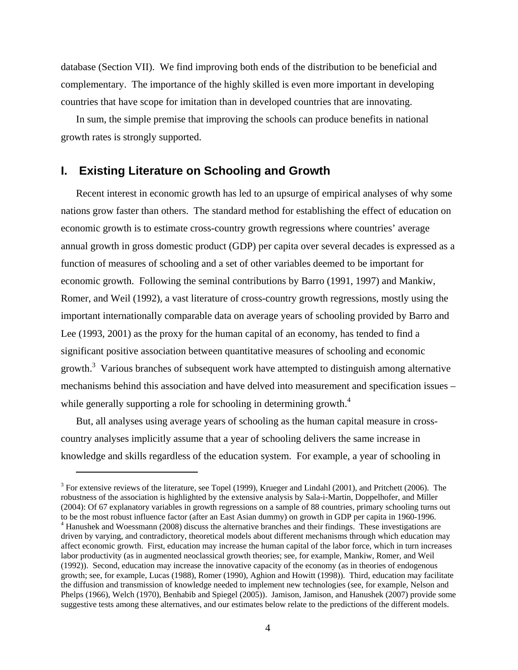database (Section VII). We find improving both ends of the distribution to be beneficial and complementary. The importance of the highly skilled is even more important in developing countries that have scope for imitation than in developed countries that are innovating.

In sum, the simple premise that improving the schools can produce benefits in national growth rates is strongly supported.

#### **I. Existing Literature on Schooling and Growth**

 $\overline{a}$ 

Recent interest in economic growth has led to an upsurge of empirical analyses of why some nations grow faster than others. The standard method for establishing the effect of education on economic growth is to estimate cross-country growth regressions where countries' average annual growth in gross domestic product (GDP) per capita over several decades is expressed as a function of measures of schooling and a set of other variables deemed to be important for economic growth. Following the seminal contributions by Barro (1991, 1997) and Mankiw, Romer, and Weil (1992), a vast literature of cross-country growth regressions, mostly using the important internationally comparable data on average years of schooling provided by Barro and Lee (1993, 2001) as the proxy for the human capital of an economy, has tended to find a significant positive association between quantitative measures of schooling and economic growth.<sup>3</sup> Various branches of subsequent work have attempted to distinguish among alternative mechanisms behind this association and have delved into measurement and specification issues – while generally supporting a role for schooling in determining growth.<sup>4</sup>

But, all analyses using average years of schooling as the human capital measure in crosscountry analyses implicitly assume that a year of schooling delivers the same increase in knowledge and skills regardless of the education system. For example, a year of schooling in

 $3$  For extensive reviews of the literature, see Topel (1999), Krueger and Lindahl (2001), and Pritchett (2006). The robustness of the association is highlighted by the extensive analysis by Sala-i-Martin, Doppelhofer, and Miller (2004): Of 67 explanatory variables in growth regressions on a sample of 88 countries, primary schooling turns out to be the most robust influence factor (after an East Asian dummy) on growth in GDP per capita in 1960-1996. <sup>4</sup> Hanushek and Woessmann (2008) discuss the alternative branches and their findings. These investigations are driven by varying, and contradictory, theoretical models about different mechanisms through which education may affect economic growth. First, education may increase the human capital of the labor force, which in turn increases labor productivity (as in augmented neoclassical growth theories; see, for example, Mankiw, Romer, and Weil (1992)). Second, education may increase the innovative capacity of the economy (as in theories of endogenous growth; see, for example, Lucas (1988), Romer (1990), Aghion and Howitt (1998)). Third, education may facilitate the diffusion and transmission of knowledge needed to implement new technologies (see, for example, Nelson and Phelps (1966), Welch (1970), Benhabib and Spiegel (2005)). Jamison, Jamison, and Hanushek (2007) provide some suggestive tests among these alternatives, and our estimates below relate to the predictions of the different models.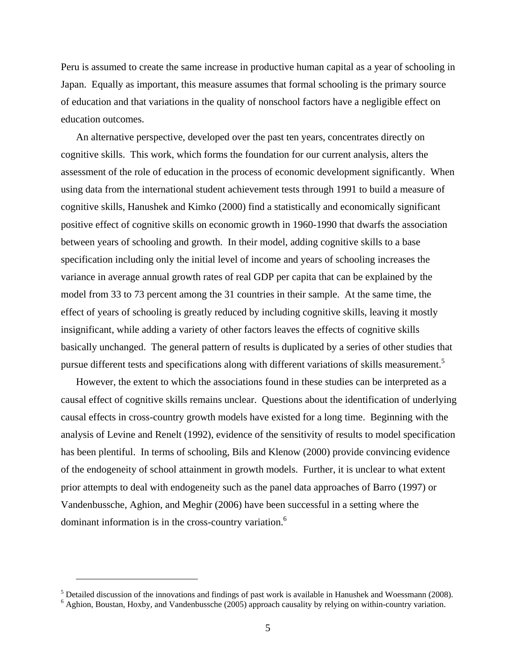Peru is assumed to create the same increase in productive human capital as a year of schooling in Japan. Equally as important, this measure assumes that formal schooling is the primary source of education and that variations in the quality of nonschool factors have a negligible effect on education outcomes.

An alternative perspective, developed over the past ten years, concentrates directly on cognitive skills. This work, which forms the foundation for our current analysis, alters the assessment of the role of education in the process of economic development significantly. When using data from the international student achievement tests through 1991 to build a measure of cognitive skills, Hanushek and Kimko (2000) find a statistically and economically significant positive effect of cognitive skills on economic growth in 1960-1990 that dwarfs the association between years of schooling and growth. In their model, adding cognitive skills to a base specification including only the initial level of income and years of schooling increases the variance in average annual growth rates of real GDP per capita that can be explained by the model from 33 to 73 percent among the 31 countries in their sample. At the same time, the effect of years of schooling is greatly reduced by including cognitive skills, leaving it mostly insignificant, while adding a variety of other factors leaves the effects of cognitive skills basically unchanged. The general pattern of results is duplicated by a series of other studies that pursue different tests and specifications along with different variations of skills measurement.<sup>5</sup>

However, the extent to which the associations found in these studies can be interpreted as a causal effect of cognitive skills remains unclear. Questions about the identification of underlying causal effects in cross-country growth models have existed for a long time. Beginning with the analysis of Levine and Renelt (1992), evidence of the sensitivity of results to model specification has been plentiful. In terms of schooling, Bils and Klenow (2000) provide convincing evidence of the endogeneity of school attainment in growth models. Further, it is unclear to what extent prior attempts to deal with endogeneity such as the panel data approaches of Barro (1997) or Vandenbussche, Aghion, and Meghir (2006) have been successful in a setting where the dominant information is in the cross-country variation.<sup>6</sup>

 $<sup>5</sup>$  Detailed discussion of the innovations and findings of past work is available in Hanushek and Woessmann (2008).</sup>

<sup>&</sup>lt;sup>6</sup> Aghion, Boustan, Hoxby, and Vandenbussche (2005) approach causality by relying on within-country variation.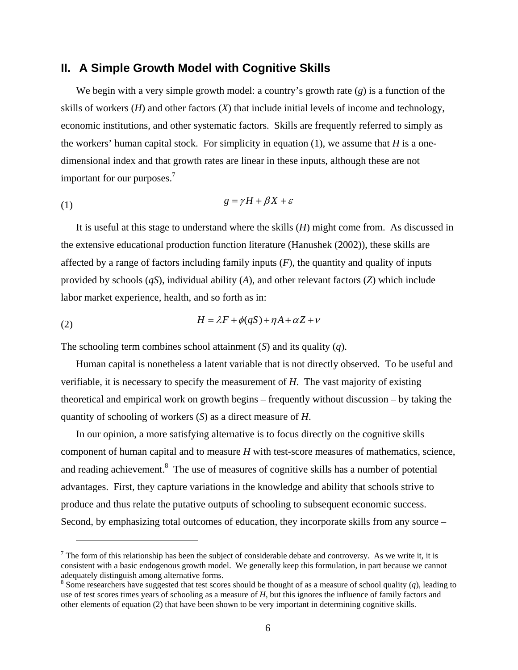#### **II. A Simple Growth Model with Cognitive Skills**

We begin with a very simple growth model: a country's growth rate (*g*) is a function of the skills of workers  $(H)$  and other factors  $(X)$  that include initial levels of income and technology, economic institutions, and other systematic factors. Skills are frequently referred to simply as the workers' human capital stock. For simplicity in equation  $(1)$ , we assume that *H* is a onedimensional index and that growth rates are linear in these inputs, although these are not important for our purposes.7

$$
(1) \t\t\t g = \gamma H + \beta X + \varepsilon
$$

It is useful at this stage to understand where the skills (*H*) might come from. As discussed in the extensive educational production function literature (Hanushek (2002)), these skills are affected by a range of factors including family inputs (*F*), the quantity and quality of inputs provided by schools (*qS*), individual ability (*A*), and other relevant factors (*Z*) which include labor market experience, health, and so forth as in:

(2) 
$$
H = \lambda F + \phi(qS) + \eta A + \alpha Z + \nu
$$

1

The schooling term combines school attainment (*S*) and its quality (*q*).

Human capital is nonetheless a latent variable that is not directly observed. To be useful and verifiable, it is necessary to specify the measurement of *H*. The vast majority of existing theoretical and empirical work on growth begins – frequently without discussion – by taking the quantity of schooling of workers (*S*) as a direct measure of *H*.

In our opinion, a more satisfying alternative is to focus directly on the cognitive skills component of human capital and to measure *H* with test-score measures of mathematics, science, and reading achievement.<sup>8</sup> The use of measures of cognitive skills has a number of potential advantages. First, they capture variations in the knowledge and ability that schools strive to produce and thus relate the putative outputs of schooling to subsequent economic success. Second, by emphasizing total outcomes of education, they incorporate skills from any source –

 $<sup>7</sup>$  The form of this relationship has been the subject of considerable debate and controversy. As we write it, it is</sup> consistent with a basic endogenous growth model. We generally keep this formulation, in part because we cannot adequately distinguish among alternative forms.

 $8$  Some researchers have suggested that test scores should be thought of as a measure of school quality (*q*), leading to use of test scores times years of schooling as a measure of *H*, but this ignores the influence of family factors and other elements of equation (2) that have been shown to be very important in determining cognitive skills.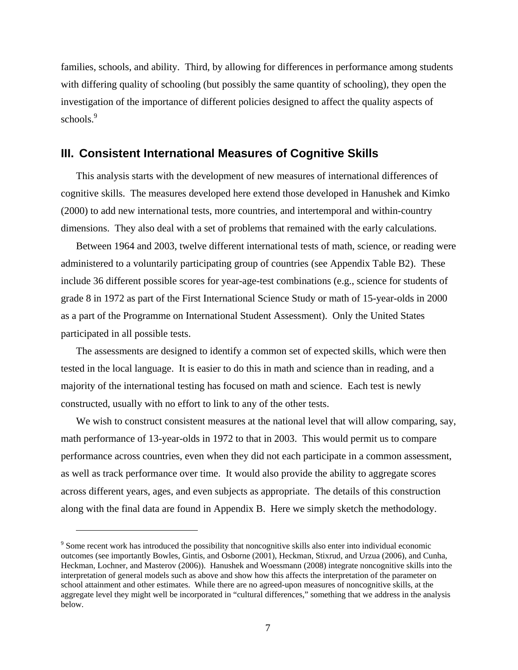families, schools, and ability. Third, by allowing for differences in performance among students with differing quality of schooling (but possibly the same quantity of schooling), they open the investigation of the importance of different policies designed to affect the quality aspects of schools.<sup>9</sup>

#### **III. Consistent International Measures of Cognitive Skills**

This analysis starts with the development of new measures of international differences of cognitive skills. The measures developed here extend those developed in Hanushek and Kimko (2000) to add new international tests, more countries, and intertemporal and within-country dimensions. They also deal with a set of problems that remained with the early calculations.

Between 1964 and 2003, twelve different international tests of math, science, or reading were administered to a voluntarily participating group of countries (see Appendix Table B2). These include 36 different possible scores for year-age-test combinations (e.g., science for students of grade 8 in 1972 as part of the First International Science Study or math of 15-year-olds in 2000 as a part of the Programme on International Student Assessment). Only the United States participated in all possible tests.

The assessments are designed to identify a common set of expected skills, which were then tested in the local language. It is easier to do this in math and science than in reading, and a majority of the international testing has focused on math and science. Each test is newly constructed, usually with no effort to link to any of the other tests.

We wish to construct consistent measures at the national level that will allow comparing, say, math performance of 13-year-olds in 1972 to that in 2003. This would permit us to compare performance across countries, even when they did not each participate in a common assessment, as well as track performance over time. It would also provide the ability to aggregate scores across different years, ages, and even subjects as appropriate. The details of this construction along with the final data are found in Appendix B. Here we simply sketch the methodology.

<u>.</u>

<sup>&</sup>lt;sup>9</sup> Some recent work has introduced the possibility that noncognitive skills also enter into individual economic outcomes (see importantly Bowles, Gintis, and Osborne (2001), Heckman, Stixrud, and Urzua (2006), and Cunha, Heckman, Lochner, and Masterov (2006)). Hanushek and Woessmann (2008) integrate noncognitive skills into the interpretation of general models such as above and show how this affects the interpretation of the parameter on school attainment and other estimates. While there are no agreed-upon measures of noncognitive skills, at the aggregate level they might well be incorporated in "cultural differences," something that we address in the analysis below.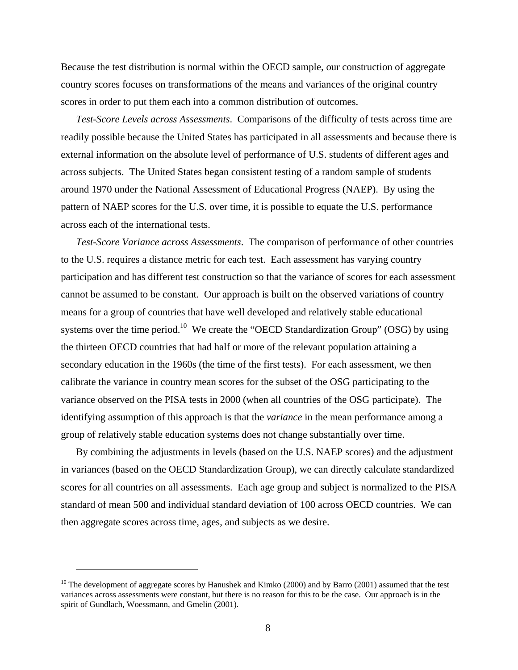Because the test distribution is normal within the OECD sample, our construction of aggregate country scores focuses on transformations of the means and variances of the original country scores in order to put them each into a common distribution of outcomes.

*Test-Score Levels across Assessments*. Comparisons of the difficulty of tests across time are readily possible because the United States has participated in all assessments and because there is external information on the absolute level of performance of U.S. students of different ages and across subjects. The United States began consistent testing of a random sample of students around 1970 under the National Assessment of Educational Progress (NAEP). By using the pattern of NAEP scores for the U.S. over time, it is possible to equate the U.S. performance across each of the international tests.

*Test-Score Variance across Assessments*. The comparison of performance of other countries to the U.S. requires a distance metric for each test. Each assessment has varying country participation and has different test construction so that the variance of scores for each assessment cannot be assumed to be constant. Our approach is built on the observed variations of country means for a group of countries that have well developed and relatively stable educational systems over the time period.<sup>10</sup> We create the "OECD Standardization Group" (OSG) by using the thirteen OECD countries that had half or more of the relevant population attaining a secondary education in the 1960s (the time of the first tests). For each assessment, we then calibrate the variance in country mean scores for the subset of the OSG participating to the variance observed on the PISA tests in 2000 (when all countries of the OSG participate). The identifying assumption of this approach is that the *variance* in the mean performance among a group of relatively stable education systems does not change substantially over time.

By combining the adjustments in levels (based on the U.S. NAEP scores) and the adjustment in variances (based on the OECD Standardization Group), we can directly calculate standardized scores for all countries on all assessments. Each age group and subject is normalized to the PISA standard of mean 500 and individual standard deviation of 100 across OECD countries. We can then aggregate scores across time, ages, and subjects as we desire.

<sup>&</sup>lt;sup>10</sup> The development of aggregate scores by Hanushek and Kimko (2000) and by Barro (2001) assumed that the test variances across assessments were constant, but there is no reason for this to be the case. Our approach is in the spirit of Gundlach, Woessmann, and Gmelin (2001).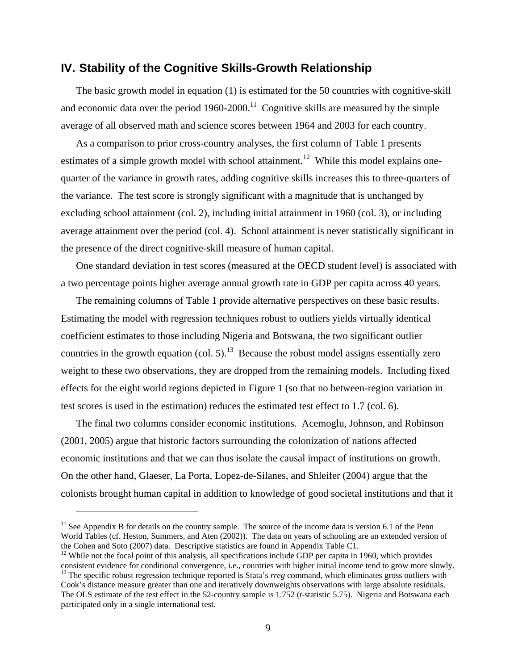#### **IV. Stability of the Cognitive Skills-Growth Relationship**

The basic growth model in equation (1) is estimated for the 50 countries with cognitive-skill and economic data over the period  $1960-2000$ .<sup>11</sup> Cognitive skills are measured by the simple average of all observed math and science scores between 1964 and 2003 for each country.

As a comparison to prior cross-country analyses, the first column of Table 1 presents estimates of a simple growth model with school attainment.<sup>12</sup> While this model explains onequarter of the variance in growth rates, adding cognitive skills increases this to three-quarters of the variance. The test score is strongly significant with a magnitude that is unchanged by excluding school attainment (col. 2), including initial attainment in 1960 (col. 3), or including average attainment over the period (col. 4). School attainment is never statistically significant in the presence of the direct cognitive-skill measure of human capital.

One standard deviation in test scores (measured at the OECD student level) is associated with a two percentage points higher average annual growth rate in GDP per capita across 40 years.

The remaining columns of Table 1 provide alternative perspectives on these basic results. Estimating the model with regression techniques robust to outliers yields virtually identical coefficient estimates to those including Nigeria and Botswana, the two significant outlier countries in the growth equation (col. 5).<sup>13</sup> Because the robust model assigns essentially zero weight to these two observations, they are dropped from the remaining models. Including fixed effects for the eight world regions depicted in Figure 1 (so that no between-region variation in test scores is used in the estimation) reduces the estimated test effect to 1.7 (col. 6).

The final two columns consider economic institutions. Acemoglu, Johnson, and Robinson (2001, 2005) argue that historic factors surrounding the colonization of nations affected economic institutions and that we can thus isolate the causal impact of institutions on growth. On the other hand, Glaeser, La Porta, Lopez-de-Silanes, and Shleifer (2004) argue that the colonists brought human capital in addition to knowledge of good societal institutions and that it

 $11$  See Appendix B for details on the country sample. The source of the income data is version 6.1 of the Penn World Tables (cf. Heston, Summers, and Aten (2002)). The data on years of schooling are an extended version of the Cohen and Soto (2007) data. Descriptive statistics are found in Appendix Table C1.

<sup>&</sup>lt;sup>12</sup> While not the focal point of this analysis, all specifications include GDP per capita in 1960, which provides consistent evidence for conditional convergence, i.e., countries with higher initial income tend to grow m  $^{13}$  The specific robust regression technique reported is Stata's *rreg* command, which eliminates gross outliers with Cook's distance measure greater than one and iteratively downweights observations with large absolute residuals.

The OLS estimate of the test effect in the 52-country sample is 1.752 (*t*-statistic 5.75). Nigeria and Botswana each participated only in a single international test.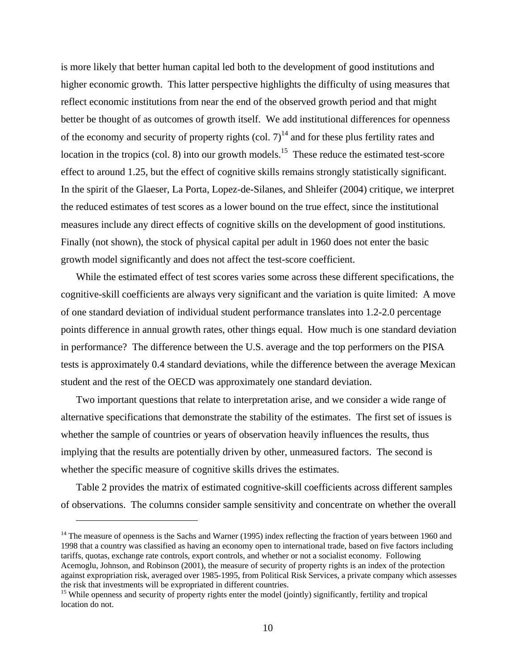is more likely that better human capital led both to the development of good institutions and higher economic growth. This latter perspective highlights the difficulty of using measures that reflect economic institutions from near the end of the observed growth period and that might better be thought of as outcomes of growth itself. We add institutional differences for openness of the economy and security of property rights (col.  $7)^{14}$  and for these plus fertility rates and location in the tropics (col. 8) into our growth models.<sup>15</sup> These reduce the estimated test-score effect to around 1.25, but the effect of cognitive skills remains strongly statistically significant. In the spirit of the Glaeser, La Porta, Lopez-de-Silanes, and Shleifer (2004) critique, we interpret the reduced estimates of test scores as a lower bound on the true effect, since the institutional measures include any direct effects of cognitive skills on the development of good institutions. Finally (not shown), the stock of physical capital per adult in 1960 does not enter the basic growth model significantly and does not affect the test-score coefficient.

While the estimated effect of test scores varies some across these different specifications, the cognitive-skill coefficients are always very significant and the variation is quite limited: A move of one standard deviation of individual student performance translates into 1.2-2.0 percentage points difference in annual growth rates, other things equal. How much is one standard deviation in performance? The difference between the U.S. average and the top performers on the PISA tests is approximately 0.4 standard deviations, while the difference between the average Mexican student and the rest of the OECD was approximately one standard deviation.

Two important questions that relate to interpretation arise, and we consider a wide range of alternative specifications that demonstrate the stability of the estimates. The first set of issues is whether the sample of countries or years of observation heavily influences the results, thus implying that the results are potentially driven by other, unmeasured factors. The second is whether the specific measure of cognitive skills drives the estimates.

Table 2 provides the matrix of estimated cognitive-skill coefficients across different samples of observations. The columns consider sample sensitivity and concentrate on whether the overall

<sup>&</sup>lt;sup>14</sup> The measure of openness is the Sachs and Warner (1995) index reflecting the fraction of years between 1960 and 1998 that a country was classified as having an economy open to international trade, based on five factors including tariffs, quotas, exchange rate controls, export controls, and whether or not a socialist economy. Following Acemoglu, Johnson, and Robinson (2001), the measure of security of property rights is an index of the protection against expropriation risk, averaged over 1985-1995, from Political Risk Services, a private company which assesses the risk that investments will be expropriated in different countries.

<sup>&</sup>lt;sup>15</sup> While openness and security of property rights enter the model (jointly) significantly, fertility and tropical location do not.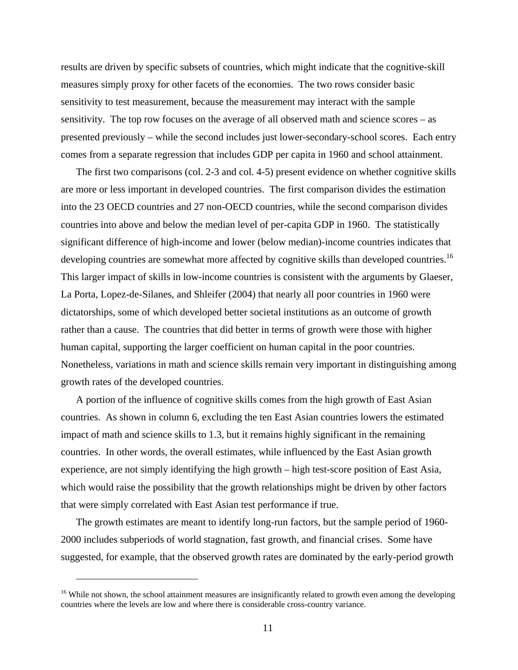results are driven by specific subsets of countries, which might indicate that the cognitive-skill measures simply proxy for other facets of the economies. The two rows consider basic sensitivity to test measurement, because the measurement may interact with the sample sensitivity. The top row focuses on the average of all observed math and science scores – as presented previously – while the second includes just lower-secondary-school scores. Each entry comes from a separate regression that includes GDP per capita in 1960 and school attainment.

The first two comparisons (col. 2-3 and col. 4-5) present evidence on whether cognitive skills are more or less important in developed countries. The first comparison divides the estimation into the 23 OECD countries and 27 non-OECD countries, while the second comparison divides countries into above and below the median level of per-capita GDP in 1960. The statistically significant difference of high-income and lower (below median)-income countries indicates that developing countries are somewhat more affected by cognitive skills than developed countries.<sup>16</sup> This larger impact of skills in low-income countries is consistent with the arguments by Glaeser, La Porta, Lopez-de-Silanes, and Shleifer (2004) that nearly all poor countries in 1960 were dictatorships, some of which developed better societal institutions as an outcome of growth rather than a cause. The countries that did better in terms of growth were those with higher human capital, supporting the larger coefficient on human capital in the poor countries. Nonetheless, variations in math and science skills remain very important in distinguishing among growth rates of the developed countries.

A portion of the influence of cognitive skills comes from the high growth of East Asian countries. As shown in column 6, excluding the ten East Asian countries lowers the estimated impact of math and science skills to 1.3, but it remains highly significant in the remaining countries. In other words, the overall estimates, while influenced by the East Asian growth experience, are not simply identifying the high growth – high test-score position of East Asia, which would raise the possibility that the growth relationships might be driven by other factors that were simply correlated with East Asian test performance if true.

The growth estimates are meant to identify long-run factors, but the sample period of 1960- 2000 includes subperiods of world stagnation, fast growth, and financial crises. Some have suggested, for example, that the observed growth rates are dominated by the early-period growth

<sup>&</sup>lt;sup>16</sup> While not shown, the school attainment measures are insignificantly related to growth even among the developing countries where the levels are low and where there is considerable cross-country variance.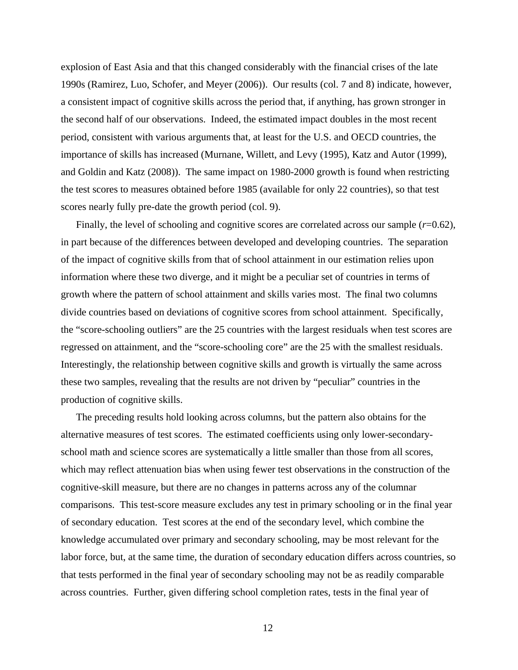explosion of East Asia and that this changed considerably with the financial crises of the late 1990s (Ramirez, Luo, Schofer, and Meyer (2006)). Our results (col. 7 and 8) indicate, however, a consistent impact of cognitive skills across the period that, if anything, has grown stronger in the second half of our observations. Indeed, the estimated impact doubles in the most recent period, consistent with various arguments that, at least for the U.S. and OECD countries, the importance of skills has increased (Murnane, Willett, and Levy (1995), Katz and Autor (1999), and Goldin and Katz (2008)). The same impact on 1980-2000 growth is found when restricting the test scores to measures obtained before 1985 (available for only 22 countries), so that test scores nearly fully pre-date the growth period (col. 9).

Finally, the level of schooling and cognitive scores are correlated across our sample ( $r=0.62$ ), in part because of the differences between developed and developing countries. The separation of the impact of cognitive skills from that of school attainment in our estimation relies upon information where these two diverge, and it might be a peculiar set of countries in terms of growth where the pattern of school attainment and skills varies most. The final two columns divide countries based on deviations of cognitive scores from school attainment. Specifically, the "score-schooling outliers" are the 25 countries with the largest residuals when test scores are regressed on attainment, and the "score-schooling core" are the 25 with the smallest residuals. Interestingly, the relationship between cognitive skills and growth is virtually the same across these two samples, revealing that the results are not driven by "peculiar" countries in the production of cognitive skills.

The preceding results hold looking across columns, but the pattern also obtains for the alternative measures of test scores. The estimated coefficients using only lower-secondaryschool math and science scores are systematically a little smaller than those from all scores, which may reflect attenuation bias when using fewer test observations in the construction of the cognitive-skill measure, but there are no changes in patterns across any of the columnar comparisons. This test-score measure excludes any test in primary schooling or in the final year of secondary education. Test scores at the end of the secondary level, which combine the knowledge accumulated over primary and secondary schooling, may be most relevant for the labor force, but, at the same time, the duration of secondary education differs across countries, so that tests performed in the final year of secondary schooling may not be as readily comparable across countries. Further, given differing school completion rates, tests in the final year of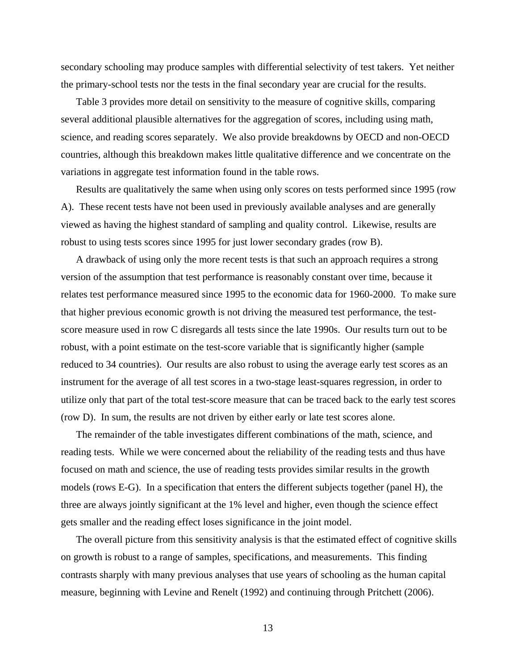secondary schooling may produce samples with differential selectivity of test takers. Yet neither the primary-school tests nor the tests in the final secondary year are crucial for the results.

Table 3 provides more detail on sensitivity to the measure of cognitive skills, comparing several additional plausible alternatives for the aggregation of scores, including using math, science, and reading scores separately. We also provide breakdowns by OECD and non-OECD countries, although this breakdown makes little qualitative difference and we concentrate on the variations in aggregate test information found in the table rows.

Results are qualitatively the same when using only scores on tests performed since 1995 (row A). These recent tests have not been used in previously available analyses and are generally viewed as having the highest standard of sampling and quality control. Likewise, results are robust to using tests scores since 1995 for just lower secondary grades (row B).

A drawback of using only the more recent tests is that such an approach requires a strong version of the assumption that test performance is reasonably constant over time, because it relates test performance measured since 1995 to the economic data for 1960-2000. To make sure that higher previous economic growth is not driving the measured test performance, the testscore measure used in row C disregards all tests since the late 1990s. Our results turn out to be robust, with a point estimate on the test-score variable that is significantly higher (sample reduced to 34 countries). Our results are also robust to using the average early test scores as an instrument for the average of all test scores in a two-stage least-squares regression, in order to utilize only that part of the total test-score measure that can be traced back to the early test scores (row D). In sum, the results are not driven by either early or late test scores alone.

The remainder of the table investigates different combinations of the math, science, and reading tests. While we were concerned about the reliability of the reading tests and thus have focused on math and science, the use of reading tests provides similar results in the growth models (rows E-G). In a specification that enters the different subjects together (panel H), the three are always jointly significant at the 1% level and higher, even though the science effect gets smaller and the reading effect loses significance in the joint model.

The overall picture from this sensitivity analysis is that the estimated effect of cognitive skills on growth is robust to a range of samples, specifications, and measurements. This finding contrasts sharply with many previous analyses that use years of schooling as the human capital measure, beginning with Levine and Renelt (1992) and continuing through Pritchett (2006).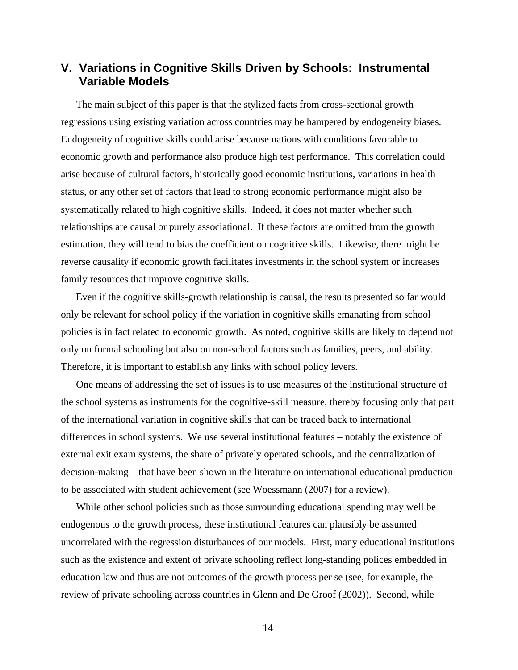### **V. Variations in Cognitive Skills Driven by Schools: Instrumental Variable Models**

The main subject of this paper is that the stylized facts from cross-sectional growth regressions using existing variation across countries may be hampered by endogeneity biases. Endogeneity of cognitive skills could arise because nations with conditions favorable to economic growth and performance also produce high test performance. This correlation could arise because of cultural factors, historically good economic institutions, variations in health status, or any other set of factors that lead to strong economic performance might also be systematically related to high cognitive skills. Indeed, it does not matter whether such relationships are causal or purely associational. If these factors are omitted from the growth estimation, they will tend to bias the coefficient on cognitive skills. Likewise, there might be reverse causality if economic growth facilitates investments in the school system or increases family resources that improve cognitive skills.

Even if the cognitive skills-growth relationship is causal, the results presented so far would only be relevant for school policy if the variation in cognitive skills emanating from school policies is in fact related to economic growth. As noted, cognitive skills are likely to depend not only on formal schooling but also on non-school factors such as families, peers, and ability. Therefore, it is important to establish any links with school policy levers.

One means of addressing the set of issues is to use measures of the institutional structure of the school systems as instruments for the cognitive-skill measure, thereby focusing only that part of the international variation in cognitive skills that can be traced back to international differences in school systems. We use several institutional features – notably the existence of external exit exam systems, the share of privately operated schools, and the centralization of decision-making – that have been shown in the literature on international educational production to be associated with student achievement (see Woessmann (2007) for a review).

While other school policies such as those surrounding educational spending may well be endogenous to the growth process, these institutional features can plausibly be assumed uncorrelated with the regression disturbances of our models. First, many educational institutions such as the existence and extent of private schooling reflect long-standing polices embedded in education law and thus are not outcomes of the growth process per se (see, for example, the review of private schooling across countries in Glenn and De Groof (2002)). Second, while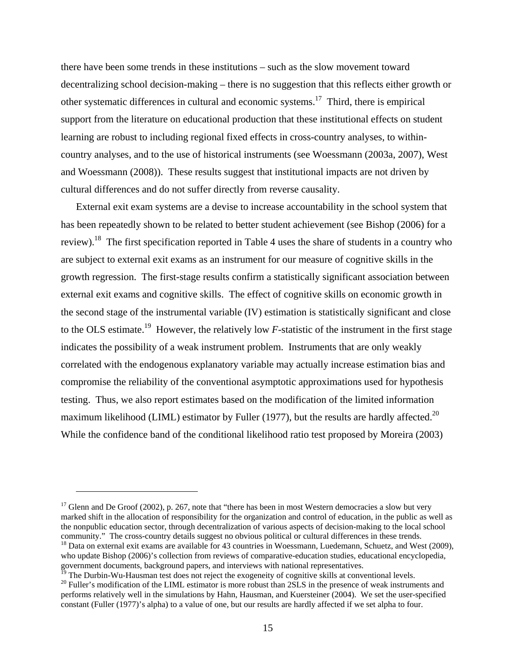there have been some trends in these institutions – such as the slow movement toward decentralizing school decision-making – there is no suggestion that this reflects either growth or other systematic differences in cultural and economic systems.17 Third, there is empirical support from the literature on educational production that these institutional effects on student learning are robust to including regional fixed effects in cross-country analyses, to withincountry analyses, and to the use of historical instruments (see Woessmann (2003a, 2007), West and Woessmann (2008)). These results suggest that institutional impacts are not driven by cultural differences and do not suffer directly from reverse causality.

External exit exam systems are a devise to increase accountability in the school system that has been repeatedly shown to be related to better student achievement (see Bishop (2006) for a review).<sup>18</sup> The first specification reported in Table 4 uses the share of students in a country who are subject to external exit exams as an instrument for our measure of cognitive skills in the growth regression. The first-stage results confirm a statistically significant association between external exit exams and cognitive skills. The effect of cognitive skills on economic growth in the second stage of the instrumental variable (IV) estimation is statistically significant and close to the OLS estimate.<sup>19</sup> However, the relatively low *F*-statistic of the instrument in the first stage indicates the possibility of a weak instrument problem. Instruments that are only weakly correlated with the endogenous explanatory variable may actually increase estimation bias and compromise the reliability of the conventional asymptotic approximations used for hypothesis testing. Thus, we also report estimates based on the modification of the limited information maximum likelihood (LIML) estimator by Fuller (1977), but the results are hardly affected.<sup>20</sup> While the confidence band of the conditional likelihood ratio test proposed by Moreira (2003)

<sup>19</sup> The Durbin-Wu-Hausman test does not reject the exogeneity of cognitive skills at conventional levels.

<sup>&</sup>lt;sup>17</sup> Glenn and De Groof (2002), p. 267, note that "there has been in most Western democracies a slow but very marked shift in the allocation of responsibility for the organization and control of education, in the public as well as the nonpublic education sector, through decentralization of various aspects of decision-making to the local school community." The cross-country details suggest no obvious political or cultural differences in these trends.

<sup>&</sup>lt;sup>18</sup> Data on external exit exams are available for 43 countries in Woessmann, Luedemann, Schuetz, and West (2009), who update Bishop (2006)'s collection from reviews of comparative-education studies, educational encyclopedia, government documents, background papers, and interviews with national representatives.

<sup>&</sup>lt;sup>20</sup> Fuller's modification of the LIML estimator is more robust than 2SLS in the presence of weak instruments and performs relatively well in the simulations by Hahn, Hausman, and Kuersteiner (2004). We set the user-specified constant (Fuller (1977)'s alpha) to a value of one, but our results are hardly affected if we set alpha to four.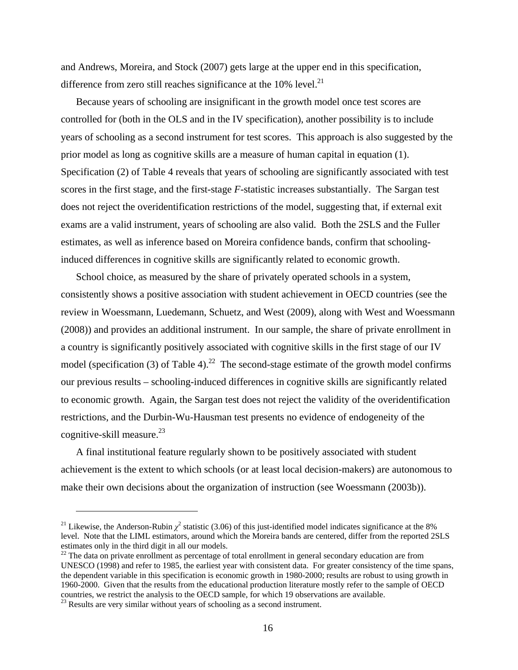and Andrews, Moreira, and Stock (2007) gets large at the upper end in this specification, difference from zero still reaches significance at the  $10\%$  level.<sup>21</sup>

Because years of schooling are insignificant in the growth model once test scores are controlled for (both in the OLS and in the IV specification), another possibility is to include years of schooling as a second instrument for test scores. This approach is also suggested by the prior model as long as cognitive skills are a measure of human capital in equation (1). Specification (2) of Table 4 reveals that years of schooling are significantly associated with test scores in the first stage, and the first-stage *F*-statistic increases substantially. The Sargan test does not reject the overidentification restrictions of the model, suggesting that, if external exit exams are a valid instrument, years of schooling are also valid. Both the 2SLS and the Fuller estimates, as well as inference based on Moreira confidence bands, confirm that schoolinginduced differences in cognitive skills are significantly related to economic growth.

School choice, as measured by the share of privately operated schools in a system, consistently shows a positive association with student achievement in OECD countries (see the review in Woessmann, Luedemann, Schuetz, and West (2009), along with West and Woessmann (2008)) and provides an additional instrument. In our sample, the share of private enrollment in a country is significantly positively associated with cognitive skills in the first stage of our IV model (specification (3) of Table 4).<sup>22</sup> The second-stage estimate of the growth model confirms our previous results – schooling-induced differences in cognitive skills are significantly related to economic growth. Again, the Sargan test does not reject the validity of the overidentification restrictions, and the Durbin-Wu-Hausman test presents no evidence of endogeneity of the cognitive-skill measure. $^{23}$ 

A final institutional feature regularly shown to be positively associated with student achievement is the extent to which schools (or at least local decision-makers) are autonomous to make their own decisions about the organization of instruction (see Woessmann (2003b)).

<sup>&</sup>lt;sup>21</sup> Likewise, the Anderson-Rubin  $\chi^2$  statistic (3.06) of this just-identified model indicates significance at the 8% level. Note that the LIML estimators, around which the Moreira bands are centered, differ from the reported 2SLS estimates only in the third digit in all our models.

<sup>&</sup>lt;sup>22</sup> The data on private enrollment as percentage of total enrollment in general secondary education are from UNESCO (1998) and refer to 1985, the earliest year with consistent data. For greater consistency of the time spans, the dependent variable in this specification is economic growth in 1980-2000; results are robust to using growth in 1960-2000. Given that the results from the educational production literature mostly refer to the sample of OECD countries, we restrict the analysis to the OECD sample, for which 19 observations are available. 23 Results are very similar without years of schooling as a second instrument.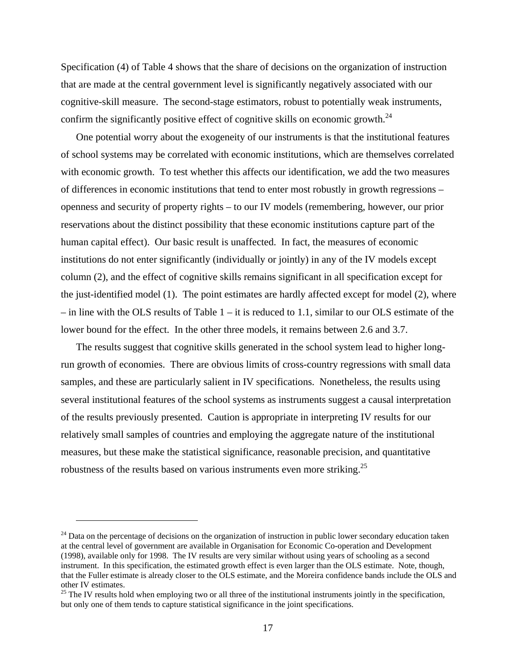Specification (4) of Table 4 shows that the share of decisions on the organization of instruction that are made at the central government level is significantly negatively associated with our cognitive-skill measure. The second-stage estimators, robust to potentially weak instruments, confirm the significantly positive effect of cognitive skills on economic growth.<sup>24</sup>

One potential worry about the exogeneity of our instruments is that the institutional features of school systems may be correlated with economic institutions, which are themselves correlated with economic growth. To test whether this affects our identification, we add the two measures of differences in economic institutions that tend to enter most robustly in growth regressions – openness and security of property rights – to our IV models (remembering, however, our prior reservations about the distinct possibility that these economic institutions capture part of the human capital effect). Our basic result is unaffected. In fact, the measures of economic institutions do not enter significantly (individually or jointly) in any of the IV models except column (2), and the effect of cognitive skills remains significant in all specification except for the just-identified model (1). The point estimates are hardly affected except for model (2), where  $-$  in line with the OLS results of Table 1 – it is reduced to 1.1, similar to our OLS estimate of the lower bound for the effect. In the other three models, it remains between 2.6 and 3.7.

The results suggest that cognitive skills generated in the school system lead to higher longrun growth of economies. There are obvious limits of cross-country regressions with small data samples, and these are particularly salient in IV specifications. Nonetheless, the results using several institutional features of the school systems as instruments suggest a causal interpretation of the results previously presented. Caution is appropriate in interpreting IV results for our relatively small samples of countries and employing the aggregate nature of the institutional measures, but these make the statistical significance, reasonable precision, and quantitative robustness of the results based on various instruments even more striking.<sup>25</sup>

<sup>&</sup>lt;sup>24</sup> Data on the percentage of decisions on the organization of instruction in public lower secondary education taken at the central level of government are available in Organisation for Economic Co-operation and Development (1998), available only for 1998. The IV results are very similar without using years of schooling as a second instrument. In this specification, the estimated growth effect is even larger than the OLS estimate. Note, though, that the Fuller estimate is already closer to the OLS estimate, and the Moreira confidence bands include the OLS and other IV estimates.

 $25$  The IV results hold when employing two or all three of the institutional instruments jointly in the specification, but only one of them tends to capture statistical significance in the joint specifications.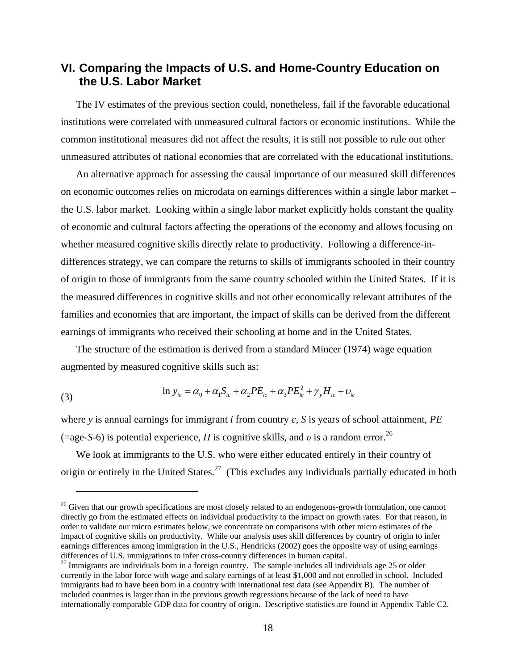### **VI. Comparing the Impacts of U.S. and Home-Country Education on the U.S. Labor Market**

The IV estimates of the previous section could, nonetheless, fail if the favorable educational institutions were correlated with unmeasured cultural factors or economic institutions. While the common institutional measures did not affect the results, it is still not possible to rule out other unmeasured attributes of national economies that are correlated with the educational institutions.

An alternative approach for assessing the causal importance of our measured skill differences on economic outcomes relies on microdata on earnings differences within a single labor market – the U.S. labor market. Looking within a single labor market explicitly holds constant the quality of economic and cultural factors affecting the operations of the economy and allows focusing on whether measured cognitive skills directly relate to productivity. Following a difference-indifferences strategy, we can compare the returns to skills of immigrants schooled in their country of origin to those of immigrants from the same country schooled within the United States. If it is the measured differences in cognitive skills and not other economically relevant attributes of the families and economies that are important, the impact of skills can be derived from the different earnings of immigrants who received their schooling at home and in the United States.

The structure of the estimation is derived from a standard Mincer (1974) wage equation augmented by measured cognitive skills such as:

(3) 
$$
\ln y_{ic} = \alpha_0 + \alpha_1 S_{ic} + \alpha_2 P E_{ic} + \alpha_3 P E_{ic}^2 + \gamma_y H_{ic} + \nu_{ic}
$$

 $\overline{a}$ 

where *y* is annual earnings for immigrant *i* from country *c*, *S* is years of school attainment, *PE* (=age-*S*-6) is potential experience, *H* is cognitive skills, and *v* is a random error.<sup>26</sup>

We look at immigrants to the U.S. who were either educated entirely in their country of origin or entirely in the United States.<sup>27</sup> (This excludes any individuals partially educated in both

<sup>&</sup>lt;sup>26</sup> Given that our growth specifications are most closely related to an endogenous-growth formulation, one cannot directly go from the estimated effects on individual productivity to the impact on growth rates. For that reason, in order to validate our micro estimates below, we concentrate on comparisons with other micro estimates of the impact of cognitive skills on productivity. While our analysis uses skill differences by country of origin to infer earnings differences among immigration in the U.S., Hendricks (2002) goes the opposite way of using earnings differences of U.S. immigrations to infer cross-country differences in human capital.<br><sup>27</sup> Immigrants are individuals born in a foreign country. The sample includes all individuals age 25 or older

currently in the labor force with wage and salary earnings of at least \$1,000 and not enrolled in school. Included immigrants had to have been born in a country with international test data (see Appendix B). The number of included countries is larger than in the previous growth regressions because of the lack of need to have internationally comparable GDP data for country of origin. Descriptive statistics are found in Appendix Table C2.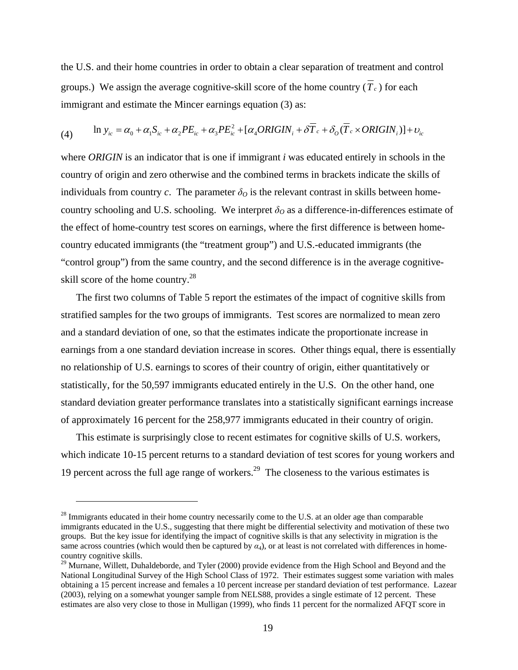the U.S. and their home countries in order to obtain a clear separation of treatment and control groups.) We assign the average cognitive-skill score of the home country  $(\overline{T}_c)$  for each immigrant and estimate the Mincer earnings equation (3) as:

$$
(4) \qquad \ln y_{ic} = \alpha_0 + \alpha_1 S_{ic} + \alpha_2 P E_{ic} + \alpha_3 P E_{ic}^2 + [\alpha_4 ORIGIN_i + \delta \overline{T}_c + \delta_o (\overline{T}_c \times ORIGIN_i)] + \nu_{ic}
$$

where *ORIGIN* is an indicator that is one if immigrant *i* was educated entirely in schools in the country of origin and zero otherwise and the combined terms in brackets indicate the skills of individuals from country *c*. The parameter  $\delta$ <sup>*O*</sup> is the relevant contrast in skills between homecountry schooling and U.S. schooling. We interpret  $\delta_0$  as a difference-in-differences estimate of the effect of home-country test scores on earnings, where the first difference is between homecountry educated immigrants (the "treatment group") and U.S.-educated immigrants (the "control group") from the same country, and the second difference is in the average cognitiveskill score of the home country.<sup>28</sup>

The first two columns of Table 5 report the estimates of the impact of cognitive skills from stratified samples for the two groups of immigrants. Test scores are normalized to mean zero and a standard deviation of one, so that the estimates indicate the proportionate increase in earnings from a one standard deviation increase in scores. Other things equal, there is essentially no relationship of U.S. earnings to scores of their country of origin, either quantitatively or statistically, for the 50,597 immigrants educated entirely in the U.S. On the other hand, one standard deviation greater performance translates into a statistically significant earnings increase of approximately 16 percent for the 258,977 immigrants educated in their country of origin.

This estimate is surprisingly close to recent estimates for cognitive skills of U.S. workers, which indicate 10-15 percent returns to a standard deviation of test scores for young workers and 19 percent across the full age range of workers.<sup>29</sup> The closeness to the various estimates is

<u>.</u>

 $28$  Immigrants educated in their home country necessarily come to the U.S. at an older age than comparable immigrants educated in the U.S., suggesting that there might be differential selectivity and motivation of these two groups. But the key issue for identifying the impact of cognitive skills is that any selectivity in migration is the same across countries (which would then be captured by  $\alpha_4$ ), or at least is not correlated with differences in homecountry cognitive skills.

<sup>&</sup>lt;sup>29</sup> Murnane, Willett, Duhaldeborde, and Tyler (2000) provide evidence from the High School and Beyond and the National Longitudinal Survey of the High School Class of 1972. Their estimates suggest some variation with males obtaining a 15 percent increase and females a 10 percent increase per standard deviation of test performance. Lazear (2003), relying on a somewhat younger sample from NELS88, provides a single estimate of 12 percent. These estimates are also very close to those in Mulligan (1999), who finds 11 percent for the normalized AFQT score in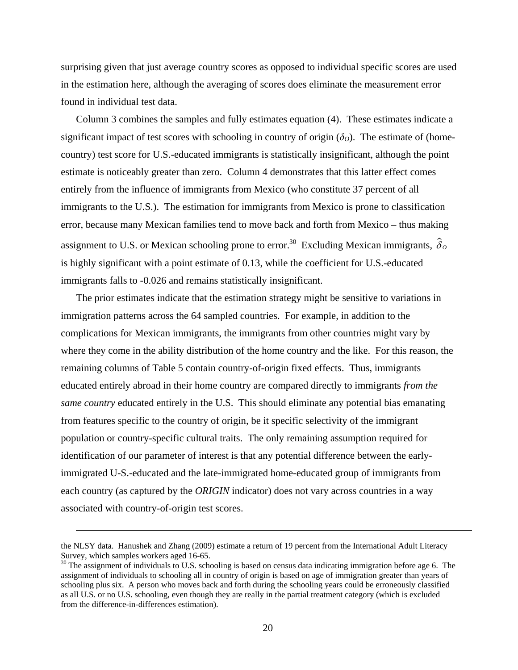surprising given that just average country scores as opposed to individual specific scores are used in the estimation here, although the averaging of scores does eliminate the measurement error found in individual test data.

Column 3 combines the samples and fully estimates equation (4). These estimates indicate a significant impact of test scores with schooling in country of origin  $(\delta_{\mathcal{O}})$ . The estimate of (homecountry) test score for U.S.-educated immigrants is statistically insignificant, although the point estimate is noticeably greater than zero. Column 4 demonstrates that this latter effect comes entirely from the influence of immigrants from Mexico (who constitute 37 percent of all immigrants to the U.S.). The estimation for immigrants from Mexico is prone to classification error, because many Mexican families tend to move back and forth from Mexico – thus making assignment to U.S. or Mexican schooling prone to error.<sup>30</sup> Excluding Mexican immigrants,  $\hat{\delta}_{\theta}$ is highly significant with a point estimate of 0.13, while the coefficient for U.S.-educated immigrants falls to -0.026 and remains statistically insignificant.

The prior estimates indicate that the estimation strategy might be sensitive to variations in immigration patterns across the 64 sampled countries. For example, in addition to the complications for Mexican immigrants, the immigrants from other countries might vary by where they come in the ability distribution of the home country and the like. For this reason, the remaining columns of Table 5 contain country-of-origin fixed effects. Thus, immigrants educated entirely abroad in their home country are compared directly to immigrants *from the same country* educated entirely in the U.S. This should eliminate any potential bias emanating from features specific to the country of origin, be it specific selectivity of the immigrant population or country-specific cultural traits. The only remaining assumption required for identification of our parameter of interest is that any potential difference between the earlyimmigrated U-S.-educated and the late-immigrated home-educated group of immigrants from each country (as captured by the *ORIGIN* indicator) does not vary across countries in a way associated with country-of-origin test scores.

<u>.</u>

the NLSY data. Hanushek and Zhang (2009) estimate a return of 19 percent from the International Adult Literacy Survey, which samples workers aged 16-65.

<sup>&</sup>lt;sup>30</sup> The assignment of individuals to U.S. schooling is based on census data indicating immigration before age 6. The assignment of individuals to schooling all in country of origin is based on age of immigration greater than years of schooling plus six. A person who moves back and forth during the schooling years could be erroneously classified as all U.S. or no U.S. schooling, even though they are really in the partial treatment category (which is excluded from the difference-in-differences estimation).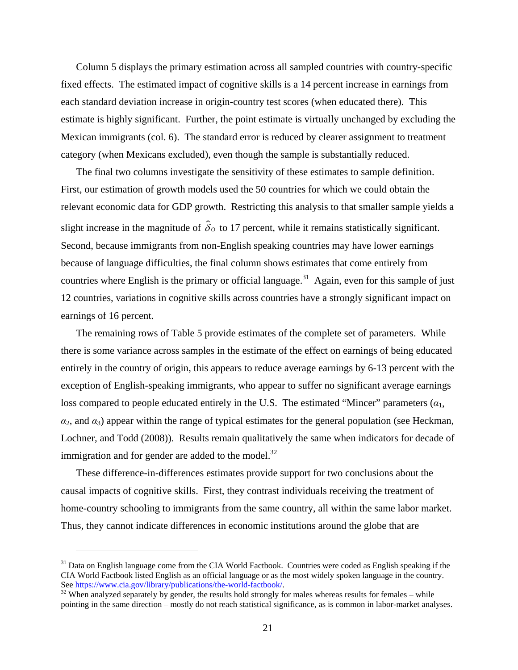Column 5 displays the primary estimation across all sampled countries with country-specific fixed effects. The estimated impact of cognitive skills is a 14 percent increase in earnings from each standard deviation increase in origin-country test scores (when educated there). This estimate is highly significant. Further, the point estimate is virtually unchanged by excluding the Mexican immigrants (col. 6). The standard error is reduced by clearer assignment to treatment category (when Mexicans excluded), even though the sample is substantially reduced.

The final two columns investigate the sensitivity of these estimates to sample definition. First, our estimation of growth models used the 50 countries for which we could obtain the relevant economic data for GDP growth. Restricting this analysis to that smaller sample yields a slight increase in the magnitude of  $\hat{\delta}_0$  to 17 percent, while it remains statistically significant. Second, because immigrants from non-English speaking countries may have lower earnings because of language difficulties, the final column shows estimates that come entirely from countries where English is the primary or official language.<sup>31</sup> Again, even for this sample of just 12 countries, variations in cognitive skills across countries have a strongly significant impact on earnings of 16 percent.

The remaining rows of Table 5 provide estimates of the complete set of parameters. While there is some variance across samples in the estimate of the effect on earnings of being educated entirely in the country of origin, this appears to reduce average earnings by 6-13 percent with the exception of English-speaking immigrants, who appear to suffer no significant average earnings loss compared to people educated entirely in the U.S. The estimated "Mincer" parameters  $(a_1, a_2, \ldots, a_n)$  $\alpha_2$ , and  $\alpha_3$ ) appear within the range of typical estimates for the general population (see Heckman, Lochner, and Todd (2008)). Results remain qualitatively the same when indicators for decade of immigration and for gender are added to the model. $32$ 

These difference-in-differences estimates provide support for two conclusions about the causal impacts of cognitive skills. First, they contrast individuals receiving the treatment of home-country schooling to immigrants from the same country, all within the same labor market. Thus, they cannot indicate differences in economic institutions around the globe that are

<sup>&</sup>lt;sup>31</sup> Data on English language come from the CIA World Factbook. Countries were coded as English speaking if the CIA World Factbook listed English as an official language or as the most widely spoken language in the country.<br>See https://www.cia.gov/library/publications/the-world-factbook/.

See https://www.cia.gov/library/publications/the-results hold-strongly for males whereas results for females – while pointing in the same direction – mostly do not reach statistical significance, as is common in labor-market analyses.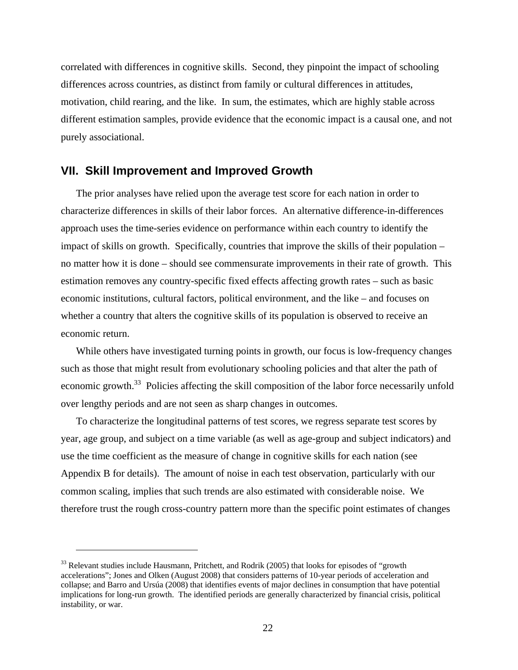correlated with differences in cognitive skills. Second, they pinpoint the impact of schooling differences across countries, as distinct from family or cultural differences in attitudes, motivation, child rearing, and the like. In sum, the estimates, which are highly stable across different estimation samples, provide evidence that the economic impact is a causal one, and not purely associational.

#### **VII. Skill Improvement and Improved Growth**

The prior analyses have relied upon the average test score for each nation in order to characterize differences in skills of their labor forces. An alternative difference-in-differences approach uses the time-series evidence on performance within each country to identify the impact of skills on growth. Specifically, countries that improve the skills of their population – no matter how it is done – should see commensurate improvements in their rate of growth. This estimation removes any country-specific fixed effects affecting growth rates – such as basic economic institutions, cultural factors, political environment, and the like – and focuses on whether a country that alters the cognitive skills of its population is observed to receive an economic return.

While others have investigated turning points in growth, our focus is low-frequency changes such as those that might result from evolutionary schooling policies and that alter the path of economic growth.<sup>33</sup> Policies affecting the skill composition of the labor force necessarily unfold over lengthy periods and are not seen as sharp changes in outcomes.

To characterize the longitudinal patterns of test scores, we regress separate test scores by year, age group, and subject on a time variable (as well as age-group and subject indicators) and use the time coefficient as the measure of change in cognitive skills for each nation (see Appendix B for details). The amount of noise in each test observation, particularly with our common scaling, implies that such trends are also estimated with considerable noise. We therefore trust the rough cross-country pattern more than the specific point estimates of changes

 $33$  Relevant studies include Hausmann, Pritchett, and Rodrik (2005) that looks for episodes of "growth" accelerations"; Jones and Olken (August 2008) that considers patterns of 10-year periods of acceleration and collapse; and Barro and Ursúa (2008) that identifies events of major declines in consumption that have potential implications for long-run growth. The identified periods are generally characterized by financial crisis, political instability, or war.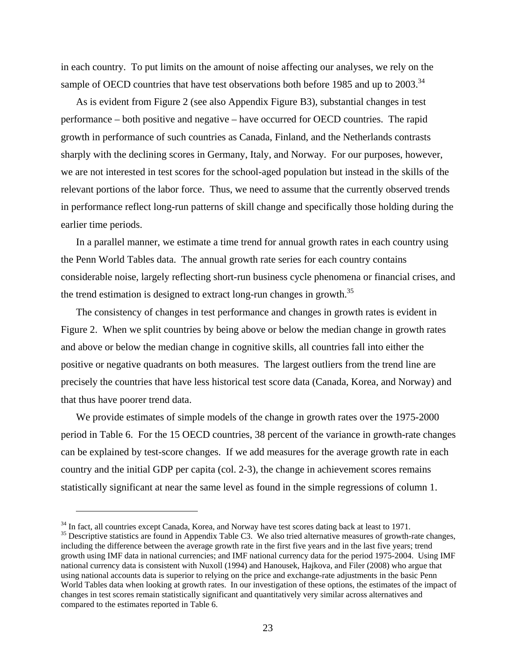in each country. To put limits on the amount of noise affecting our analyses, we rely on the sample of OECD countries that have test observations both before 1985 and up to  $2003$ .<sup>34</sup>

As is evident from Figure 2 (see also Appendix Figure B3), substantial changes in test performance – both positive and negative – have occurred for OECD countries. The rapid growth in performance of such countries as Canada, Finland, and the Netherlands contrasts sharply with the declining scores in Germany, Italy, and Norway. For our purposes, however, we are not interested in test scores for the school-aged population but instead in the skills of the relevant portions of the labor force. Thus, we need to assume that the currently observed trends in performance reflect long-run patterns of skill change and specifically those holding during the earlier time periods.

In a parallel manner, we estimate a time trend for annual growth rates in each country using the Penn World Tables data. The annual growth rate series for each country contains considerable noise, largely reflecting short-run business cycle phenomena or financial crises, and the trend estimation is designed to extract long-run changes in growth.<sup>35</sup>

The consistency of changes in test performance and changes in growth rates is evident in Figure 2. When we split countries by being above or below the median change in growth rates and above or below the median change in cognitive skills, all countries fall into either the positive or negative quadrants on both measures. The largest outliers from the trend line are precisely the countries that have less historical test score data (Canada, Korea, and Norway) and that thus have poorer trend data.

We provide estimates of simple models of the change in growth rates over the 1975-2000 period in Table 6. For the 15 OECD countries, 38 percent of the variance in growth-rate changes can be explained by test-score changes. If we add measures for the average growth rate in each country and the initial GDP per capita (col. 2-3), the change in achievement scores remains statistically significant at near the same level as found in the simple regressions of column 1.

 $34$  In fact, all countries except Canada, Korea, and Norway have test scores dating back at least to 1971.<br><sup>35</sup> Descriptive statistics are found in Appendix Table C3. We also tried alternative measures of growth-rate cha including the difference between the average growth rate in the first five years and in the last five years; trend growth using IMF data in national currencies; and IMF national currency data for the period 1975-2004. Using IMF national currency data is consistent with Nuxoll (1994) and Hanousek, Hajkova, and Filer (2008) who argue that using national accounts data is superior to relying on the price and exchange-rate adjustments in the basic Penn World Tables data when looking at growth rates. In our investigation of these options, the estimates of the impact of changes in test scores remain statistically significant and quantitatively very similar across alternatives and compared to the estimates reported in Table 6.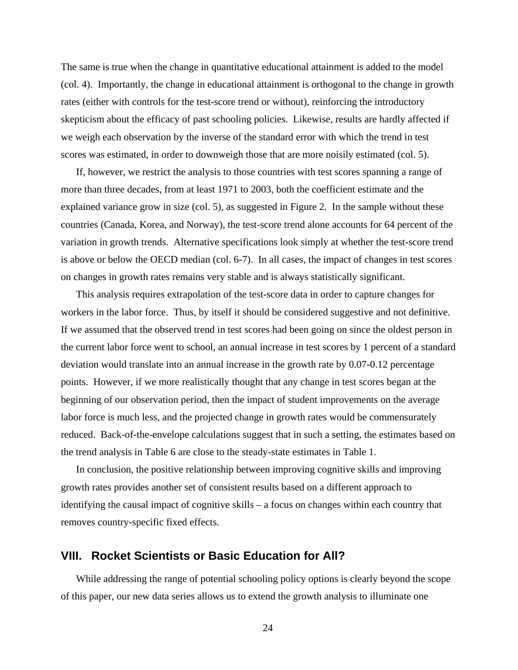The same is true when the change in quantitative educational attainment is added to the model (col. 4). Importantly, the change in educational attainment is orthogonal to the change in growth rates (either with controls for the test-score trend or without), reinforcing the introductory skepticism about the efficacy of past schooling policies. Likewise, results are hardly affected if we weigh each observation by the inverse of the standard error with which the trend in test scores was estimated, in order to downweigh those that are more noisily estimated (col. 5).

If, however, we restrict the analysis to those countries with test scores spanning a range of more than three decades, from at least 1971 to 2003, both the coefficient estimate and the explained variance grow in size (col. 5), as suggested in Figure 2. In the sample without these countries (Canada, Korea, and Norway), the test-score trend alone accounts for 64 percent of the variation in growth trends. Alternative specifications look simply at whether the test-score trend is above or below the OECD median (col. 6-7). In all cases, the impact of changes in test scores on changes in growth rates remains very stable and is always statistically significant.

This analysis requires extrapolation of the test-score data in order to capture changes for workers in the labor force. Thus, by itself it should be considered suggestive and not definitive. If we assumed that the observed trend in test scores had been going on since the oldest person in the current labor force went to school, an annual increase in test scores by 1 percent of a standard deviation would translate into an annual increase in the growth rate by 0.07-0.12 percentage points. However, if we more realistically thought that any change in test scores began at the beginning of our observation period, then the impact of student improvements on the average labor force is much less, and the projected change in growth rates would be commensurately reduced. Back-of-the-envelope calculations suggest that in such a setting, the estimates based on the trend analysis in Table 6 are close to the steady-state estimates in Table 1.

In conclusion, the positive relationship between improving cognitive skills and improving growth rates provides another set of consistent results based on a different approach to identifying the causal impact of cognitive skills – a focus on changes within each country that removes country-specific fixed effects.

#### **VIII. Rocket Scientists or Basic Education for All?**

While addressing the range of potential schooling policy options is clearly beyond the scope of this paper, our new data series allows us to extend the growth analysis to illuminate one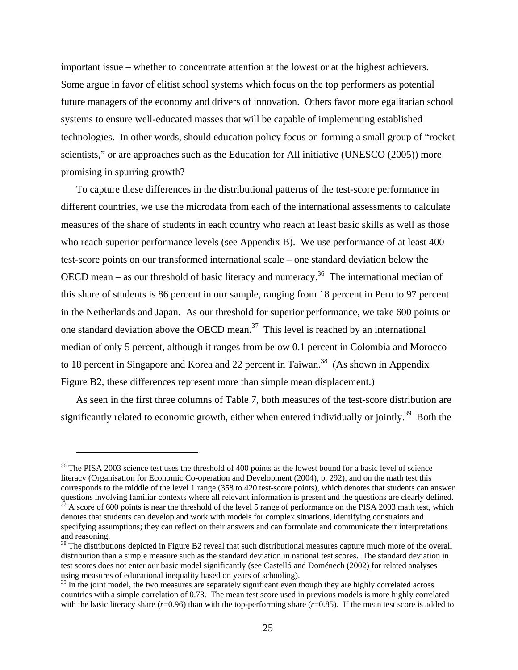important issue – whether to concentrate attention at the lowest or at the highest achievers. Some argue in favor of elitist school systems which focus on the top performers as potential future managers of the economy and drivers of innovation. Others favor more egalitarian school systems to ensure well-educated masses that will be capable of implementing established technologies. In other words, should education policy focus on forming a small group of "rocket scientists," or are approaches such as the Education for All initiative (UNESCO (2005)) more promising in spurring growth?

To capture these differences in the distributional patterns of the test-score performance in different countries, we use the microdata from each of the international assessments to calculate measures of the share of students in each country who reach at least basic skills as well as those who reach superior performance levels (see Appendix B). We use performance of at least 400 test-score points on our transformed international scale – one standard deviation below the OECD mean – as our threshold of basic literacy and numeracy.<sup>36</sup> The international median of this share of students is 86 percent in our sample, ranging from 18 percent in Peru to 97 percent in the Netherlands and Japan. As our threshold for superior performance, we take 600 points or one standard deviation above the OECD mean. $37$  This level is reached by an international median of only 5 percent, although it ranges from below 0.1 percent in Colombia and Morocco to 18 percent in Singapore and Korea and 22 percent in Taiwan.<sup>38</sup> (As shown in Appendix Figure B2, these differences represent more than simple mean displacement.)

As seen in the first three columns of Table 7, both measures of the test-score distribution are significantly related to economic growth, either when entered individually or jointly.<sup>39</sup> Both the

<sup>&</sup>lt;sup>36</sup> The PISA 2003 science test uses the threshold of 400 points as the lowest bound for a basic level of science literacy (Organisation for Economic Co-operation and Development (2004), p. 292), and on the math test this corresponds to the middle of the level 1 range (358 to 420 test-score points), which denotes that students can answer questions involving familiar contexts where all relevant information is present and the questions are clearly defined.<br><sup>37</sup> A score of 600 points is near the threshold of the level 5 range of performance on the PISA 2003 m

denotes that students can develop and work with models for complex situations, identifying constraints and specifying assumptions; they can reflect on their answers and can formulate and communicate their interpretations and reasoning.

 $38$  The distributions depicted in Figure B2 reveal that such distributional measures capture much more of the overall distribution than a simple measure such as the standard deviation in national test scores. The standard deviation in test scores does not enter our basic model significantly (see Castelló and Doménech (2002) for related analyses using measures of educational inequality based on years of schooling).

 $39$  In the joint model, the two measures are separately significant even though they are highly correlated across countries with a simple correlation of 0.73. The mean test score used in previous models is more highly correlated with the basic literacy share  $(r=0.96)$  than with the top-performing share  $(r=0.85)$ . If the mean test score is added to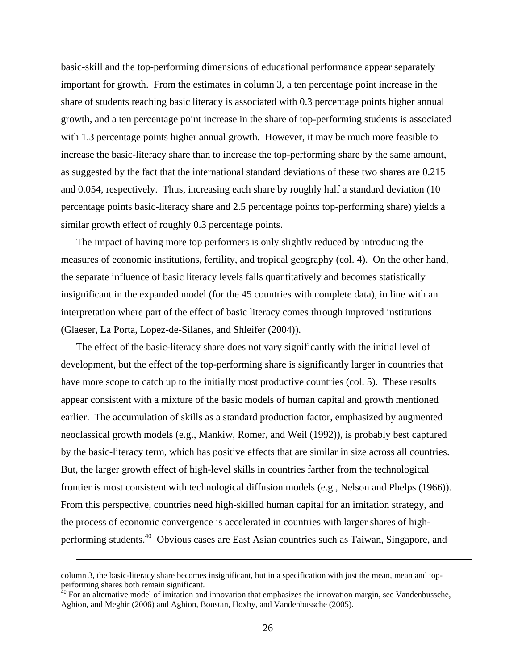basic-skill and the top-performing dimensions of educational performance appear separately important for growth. From the estimates in column 3, a ten percentage point increase in the share of students reaching basic literacy is associated with 0.3 percentage points higher annual growth, and a ten percentage point increase in the share of top-performing students is associated with 1.3 percentage points higher annual growth. However, it may be much more feasible to increase the basic-literacy share than to increase the top-performing share by the same amount, as suggested by the fact that the international standard deviations of these two shares are 0.215 and 0.054, respectively. Thus, increasing each share by roughly half a standard deviation (10 percentage points basic-literacy share and 2.5 percentage points top-performing share) yields a similar growth effect of roughly 0.3 percentage points.

The impact of having more top performers is only slightly reduced by introducing the measures of economic institutions, fertility, and tropical geography (col. 4). On the other hand, the separate influence of basic literacy levels falls quantitatively and becomes statistically insignificant in the expanded model (for the 45 countries with complete data), in line with an interpretation where part of the effect of basic literacy comes through improved institutions (Glaeser, La Porta, Lopez-de-Silanes, and Shleifer (2004)).

The effect of the basic-literacy share does not vary significantly with the initial level of development, but the effect of the top-performing share is significantly larger in countries that have more scope to catch up to the initially most productive countries (col. 5). These results appear consistent with a mixture of the basic models of human capital and growth mentioned earlier. The accumulation of skills as a standard production factor, emphasized by augmented neoclassical growth models (e.g., Mankiw, Romer, and Weil (1992)), is probably best captured by the basic-literacy term, which has positive effects that are similar in size across all countries. But, the larger growth effect of high-level skills in countries farther from the technological frontier is most consistent with technological diffusion models (e.g., Nelson and Phelps (1966)). From this perspective, countries need high-skilled human capital for an imitation strategy, and the process of economic convergence is accelerated in countries with larger shares of highperforming students.40 Obvious cases are East Asian countries such as Taiwan, Singapore, and

<u>.</u>

column 3, the basic-literacy share becomes insignificant, but in a specification with just the mean, mean and topperforming shares both remain significant.

 $40$  For an alternative model of imitation and innovation that emphasizes the innovation margin, see Vandenbussche, Aghion, and Meghir (2006) and Aghion, Boustan, Hoxby, and Vandenbussche (2005).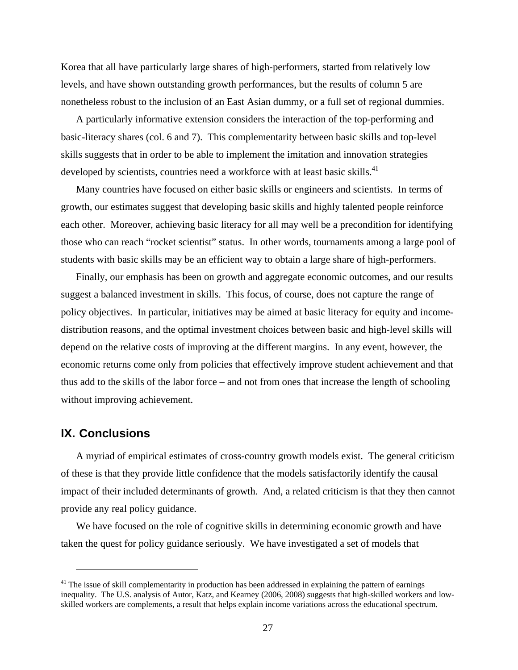Korea that all have particularly large shares of high-performers, started from relatively low levels, and have shown outstanding growth performances, but the results of column 5 are nonetheless robust to the inclusion of an East Asian dummy, or a full set of regional dummies.

A particularly informative extension considers the interaction of the top-performing and basic-literacy shares (col. 6 and 7). This complementarity between basic skills and top-level skills suggests that in order to be able to implement the imitation and innovation strategies developed by scientists, countries need a workforce with at least basic skills.<sup>41</sup>

Many countries have focused on either basic skills or engineers and scientists. In terms of growth, our estimates suggest that developing basic skills and highly talented people reinforce each other. Moreover, achieving basic literacy for all may well be a precondition for identifying those who can reach "rocket scientist" status. In other words, tournaments among a large pool of students with basic skills may be an efficient way to obtain a large share of high-performers.

Finally, our emphasis has been on growth and aggregate economic outcomes, and our results suggest a balanced investment in skills. This focus, of course, does not capture the range of policy objectives. In particular, initiatives may be aimed at basic literacy for equity and incomedistribution reasons, and the optimal investment choices between basic and high-level skills will depend on the relative costs of improving at the different margins. In any event, however, the economic returns come only from policies that effectively improve student achievement and that thus add to the skills of the labor force – and not from ones that increase the length of schooling without improving achievement.

#### **IX. Conclusions**

 $\overline{a}$ 

A myriad of empirical estimates of cross-country growth models exist. The general criticism of these is that they provide little confidence that the models satisfactorily identify the causal impact of their included determinants of growth. And, a related criticism is that they then cannot provide any real policy guidance.

We have focused on the role of cognitive skills in determining economic growth and have taken the quest for policy guidance seriously. We have investigated a set of models that

 $41$  The issue of skill complementarity in production has been addressed in explaining the pattern of earnings inequality. The U.S. analysis of Autor, Katz, and Kearney (2006, 2008) suggests that high-skilled workers and lowskilled workers are complements, a result that helps explain income variations across the educational spectrum.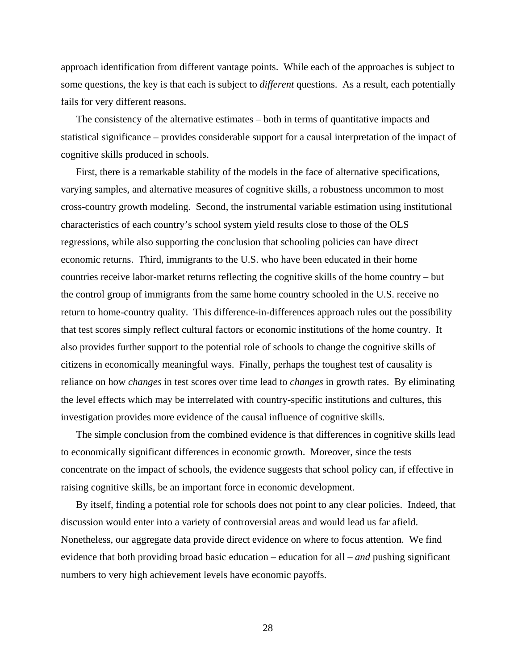approach identification from different vantage points. While each of the approaches is subject to some questions, the key is that each is subject to *different* questions. As a result, each potentially fails for very different reasons.

The consistency of the alternative estimates – both in terms of quantitative impacts and statistical significance – provides considerable support for a causal interpretation of the impact of cognitive skills produced in schools.

First, there is a remarkable stability of the models in the face of alternative specifications, varying samples, and alternative measures of cognitive skills, a robustness uncommon to most cross-country growth modeling. Second, the instrumental variable estimation using institutional characteristics of each country's school system yield results close to those of the OLS regressions, while also supporting the conclusion that schooling policies can have direct economic returns. Third, immigrants to the U.S. who have been educated in their home countries receive labor-market returns reflecting the cognitive skills of the home country – but the control group of immigrants from the same home country schooled in the U.S. receive no return to home-country quality. This difference-in-differences approach rules out the possibility that test scores simply reflect cultural factors or economic institutions of the home country. It also provides further support to the potential role of schools to change the cognitive skills of citizens in economically meaningful ways. Finally, perhaps the toughest test of causality is reliance on how *changes* in test scores over time lead to *changes* in growth rates. By eliminating the level effects which may be interrelated with country-specific institutions and cultures, this investigation provides more evidence of the causal influence of cognitive skills.

The simple conclusion from the combined evidence is that differences in cognitive skills lead to economically significant differences in economic growth. Moreover, since the tests concentrate on the impact of schools, the evidence suggests that school policy can, if effective in raising cognitive skills, be an important force in economic development.

By itself, finding a potential role for schools does not point to any clear policies. Indeed, that discussion would enter into a variety of controversial areas and would lead us far afield. Nonetheless, our aggregate data provide direct evidence on where to focus attention. We find evidence that both providing broad basic education – education for all – *and* pushing significant numbers to very high achievement levels have economic payoffs.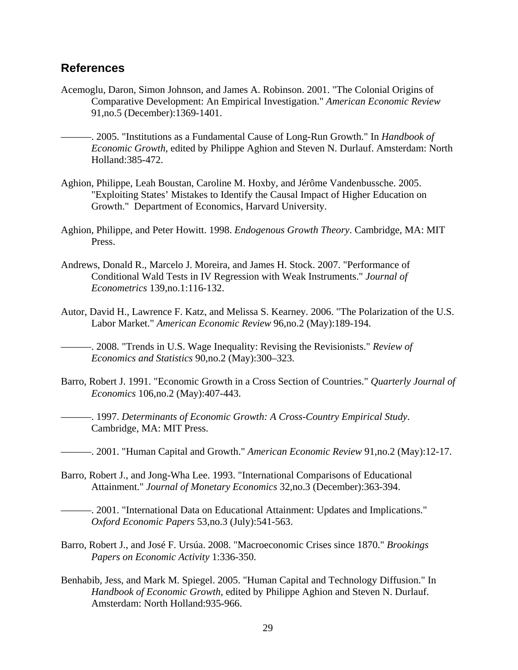#### **References**

- Acemoglu, Daron, Simon Johnson, and James A. Robinson. 2001. "The Colonial Origins of Comparative Development: An Empirical Investigation." *American Economic Review* 91,no.5 (December):1369-1401.
	- ———. 2005. "Institutions as a Fundamental Cause of Long-Run Growth." In *Handbook of Economic Growth*, edited by Philippe Aghion and Steven N. Durlauf. Amsterdam: North Holland:385-472.
- Aghion, Philippe, Leah Boustan, Caroline M. Hoxby, and Jérôme Vandenbussche. 2005. "Exploiting States' Mistakes to Identify the Causal Impact of Higher Education on Growth." Department of Economics, Harvard University.
- Aghion, Philippe, and Peter Howitt. 1998. *Endogenous Growth Theory*. Cambridge, MA: MIT Press.
- Andrews, Donald R., Marcelo J. Moreira, and James H. Stock. 2007. "Performance of Conditional Wald Tests in IV Regression with Weak Instruments." *Journal of Econometrics* 139,no.1:116-132.
- Autor, David H., Lawrence F. Katz, and Melissa S. Kearney. 2006. "The Polarization of the U.S. Labor Market." *American Economic Review* 96,no.2 (May):189-194.

———. 2008. "Trends in U.S. Wage Inequality: Revising the Revisionists." *Review of Economics and Statistics* 90,no.2 (May):300–323.

- Barro, Robert J. 1991. "Economic Growth in a Cross Section of Countries." *Quarterly Journal of Economics* 106,no.2 (May):407-443.
	- ———. 1997. *Determinants of Economic Growth: A Cross-Country Empirical Study*. Cambridge, MA: MIT Press.
- ———. 2001. "Human Capital and Growth." *American Economic Review* 91,no.2 (May):12-17.
- Barro, Robert J., and Jong-Wha Lee. 1993. "International Comparisons of Educational Attainment." *Journal of Monetary Economics* 32,no.3 (December):363-394.

———. 2001. "International Data on Educational Attainment: Updates and Implications." *Oxford Economic Papers* 53,no.3 (July):541-563.

- Barro, Robert J., and José F. Ursúa. 2008. "Macroeconomic Crises since 1870." *Brookings Papers on Economic Activity* 1:336-350.
- Benhabib, Jess, and Mark M. Spiegel. 2005. "Human Capital and Technology Diffusion." In *Handbook of Economic Growth*, edited by Philippe Aghion and Steven N. Durlauf. Amsterdam: North Holland:935-966.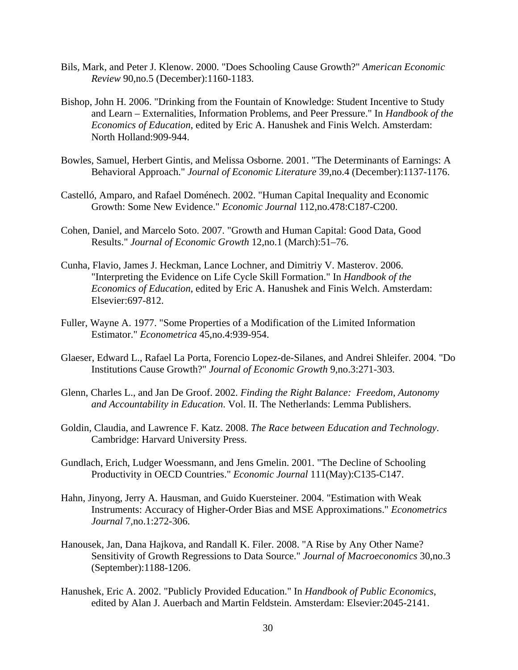- Bils, Mark, and Peter J. Klenow. 2000. "Does Schooling Cause Growth?" *American Economic Review* 90,no.5 (December):1160-1183.
- Bishop, John H. 2006. "Drinking from the Fountain of Knowledge: Student Incentive to Study and Learn – Externalities, Information Problems, and Peer Pressure." In *Handbook of the Economics of Education*, edited by Eric A. Hanushek and Finis Welch. Amsterdam: North Holland:909-944.
- Bowles, Samuel, Herbert Gintis, and Melissa Osborne. 2001. "The Determinants of Earnings: A Behavioral Approach." *Journal of Economic Literature* 39,no.4 (December):1137-1176.
- Castelló, Amparo, and Rafael Doménech. 2002. "Human Capital Inequality and Economic Growth: Some New Evidence." *Economic Journal* 112,no.478:C187-C200.
- Cohen, Daniel, and Marcelo Soto. 2007. "Growth and Human Capital: Good Data, Good Results." *Journal of Economic Growth* 12,no.1 (March):51–76.
- Cunha, Flavio, James J. Heckman, Lance Lochner, and Dimitriy V. Masterov. 2006. "Interpreting the Evidence on Life Cycle Skill Formation." In *Handbook of the Economics of Education*, edited by Eric A. Hanushek and Finis Welch. Amsterdam: Elsevier:697-812.
- Fuller, Wayne A. 1977. "Some Properties of a Modification of the Limited Information Estimator." *Econometrica* 45,no.4:939-954.
- Glaeser, Edward L., Rafael La Porta, Forencio Lopez-de-Silanes, and Andrei Shleifer. 2004. "Do Institutions Cause Growth?" *Journal of Economic Growth* 9,no.3:271-303.
- Glenn, Charles L., and Jan De Groof. 2002. *Finding the Right Balance: Freedom, Autonomy and Accountability in Education*. Vol. II. The Netherlands: Lemma Publishers.
- Goldin, Claudia, and Lawrence F. Katz. 2008. *The Race between Education and Technology*. Cambridge: Harvard University Press.
- Gundlach, Erich, Ludger Woessmann, and Jens Gmelin. 2001. "The Decline of Schooling Productivity in OECD Countries." *Economic Journal* 111(May):C135-C147.
- Hahn, Jinyong, Jerry A. Hausman, and Guido Kuersteiner. 2004. "Estimation with Weak Instruments: Accuracy of Higher-Order Bias and MSE Approximations." *Econometrics Journal* 7,no.1:272-306.
- Hanousek, Jan, Dana Hajkova, and Randall K. Filer. 2008. "A Rise by Any Other Name? Sensitivity of Growth Regressions to Data Source." *Journal of Macroeconomics* 30,no.3 (September):1188-1206.
- Hanushek, Eric A. 2002. "Publicly Provided Education." In *Handbook of Public Economics*, edited by Alan J. Auerbach and Martin Feldstein. Amsterdam: Elsevier:2045-2141.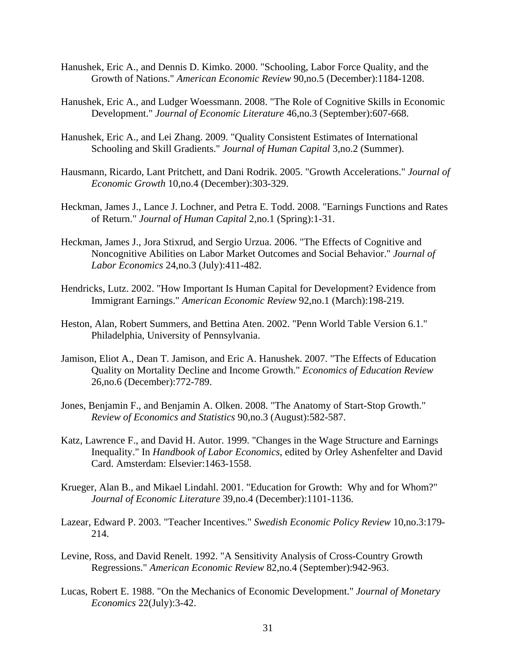- Hanushek, Eric A., and Dennis D. Kimko. 2000. "Schooling, Labor Force Quality, and the Growth of Nations." *American Economic Review* 90,no.5 (December):1184-1208.
- Hanushek, Eric A., and Ludger Woessmann. 2008. "The Role of Cognitive Skills in Economic Development." *Journal of Economic Literature* 46,no.3 (September):607-668.
- Hanushek, Eric A., and Lei Zhang. 2009. "Quality Consistent Estimates of International Schooling and Skill Gradients." *Journal of Human Capital* 3,no.2 (Summer).
- Hausmann, Ricardo, Lant Pritchett, and Dani Rodrik. 2005. "Growth Accelerations." *Journal of Economic Growth* 10,no.4 (December):303-329.
- Heckman, James J., Lance J. Lochner, and Petra E. Todd. 2008. "Earnings Functions and Rates of Return." *Journal of Human Capital* 2,no.1 (Spring):1-31.
- Heckman, James J., Jora Stixrud, and Sergio Urzua. 2006. "The Effects of Cognitive and Noncognitive Abilities on Labor Market Outcomes and Social Behavior." *Journal of Labor Economics* 24,no.3 (July):411-482.
- Hendricks, Lutz. 2002. "How Important Is Human Capital for Development? Evidence from Immigrant Earnings." *American Economic Review* 92,no.1 (March):198-219.
- Heston, Alan, Robert Summers, and Bettina Aten. 2002. "Penn World Table Version 6.1." Philadelphia, University of Pennsylvania.
- Jamison, Eliot A., Dean T. Jamison, and Eric A. Hanushek. 2007. "The Effects of Education Quality on Mortality Decline and Income Growth." *Economics of Education Review* 26,no.6 (December):772-789.
- Jones, Benjamin F., and Benjamin A. Olken. 2008. "The Anatomy of Start-Stop Growth." *Review of Economics and Statistics* 90,no.3 (August):582-587.
- Katz, Lawrence F., and David H. Autor. 1999. "Changes in the Wage Structure and Earnings Inequality." In *Handbook of Labor Economics*, edited by Orley Ashenfelter and David Card. Amsterdam: Elsevier:1463-1558.
- Krueger, Alan B., and Mikael Lindahl. 2001. "Education for Growth: Why and for Whom?" *Journal of Economic Literature* 39,no.4 (December):1101-1136.
- Lazear, Edward P. 2003. "Teacher Incentives." *Swedish Economic Policy Review* 10,no.3:179- 214.
- Levine, Ross, and David Renelt. 1992. "A Sensitivity Analysis of Cross-Country Growth Regressions." *American Economic Review* 82,no.4 (September):942-963.
- Lucas, Robert E. 1988. "On the Mechanics of Economic Development." *Journal of Monetary Economics* 22(July):3-42.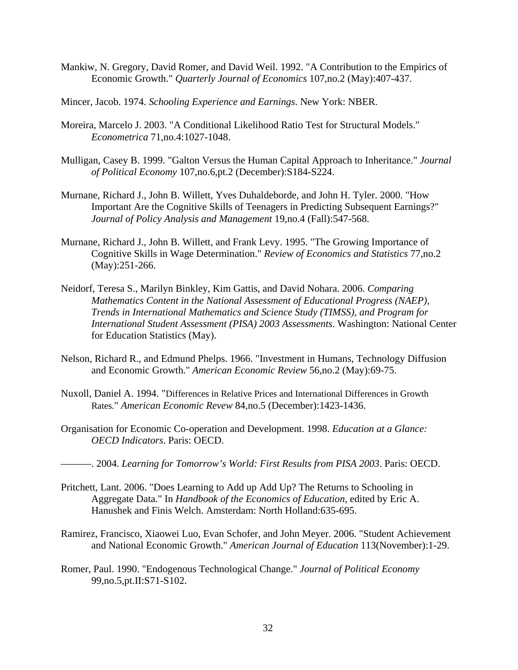- Mankiw, N. Gregory, David Romer, and David Weil. 1992. "A Contribution to the Empirics of Economic Growth." *Quarterly Journal of Economics* 107,no.2 (May):407-437.
- Mincer, Jacob. 1974. *Schooling Experience and Earnings*. New York: NBER.
- Moreira, Marcelo J. 2003. "A Conditional Likelihood Ratio Test for Structural Models." *Econometrica* 71,no.4:1027-1048.
- Mulligan, Casey B. 1999. "Galton Versus the Human Capital Approach to Inheritance." *Journal of Political Economy* 107,no.6,pt.2 (December):S184-S224.
- Murnane, Richard J., John B. Willett, Yves Duhaldeborde, and John H. Tyler. 2000. "How Important Are the Cognitive Skills of Teenagers in Predicting Subsequent Earnings?" *Journal of Policy Analysis and Management* 19,no.4 (Fall):547-568.
- Murnane, Richard J., John B. Willett, and Frank Levy. 1995. "The Growing Importance of Cognitive Skills in Wage Determination." *Review of Economics and Statistics* 77,no.2 (May):251-266.
- Neidorf, Teresa S., Marilyn Binkley, Kim Gattis, and David Nohara. 2006. *Comparing Mathematics Content in the National Assessment of Educational Progress (NAEP), Trends in International Mathematics and Science Study (TIMSS), and Program for International Student Assessment (PISA) 2003 Assessments*. Washington: National Center for Education Statistics (May).
- Nelson, Richard R., and Edmund Phelps. 1966. "Investment in Humans, Technology Diffusion and Economic Growth." *American Economic Review* 56,no.2 (May):69-75.
- Nuxoll, Daniel A. 1994. "Differences in Relative Prices and International Differences in Growth Rates." *American Economic Revew* 84,no.5 (December):1423-1436.
- Organisation for Economic Co-operation and Development. 1998. *Education at a Glance: OECD Indicators*. Paris: OECD.
- ———. 2004. *Learning for Tomorrow's World: First Results from PISA 2003*. Paris: OECD.
- Pritchett, Lant. 2006. "Does Learning to Add up Add Up? The Returns to Schooling in Aggregate Data." In *Handbook of the Economics of Education*, edited by Eric A. Hanushek and Finis Welch. Amsterdam: North Holland:635-695.
- Ramirez, Francisco, Xiaowei Luo, Evan Schofer, and John Meyer. 2006. "Student Achievement and National Economic Growth." *American Journal of Education* 113(November):1-29.
- Romer, Paul. 1990. "Endogenous Technological Change." *Journal of Political Economy* 99,no.5,pt.II:S71-S102.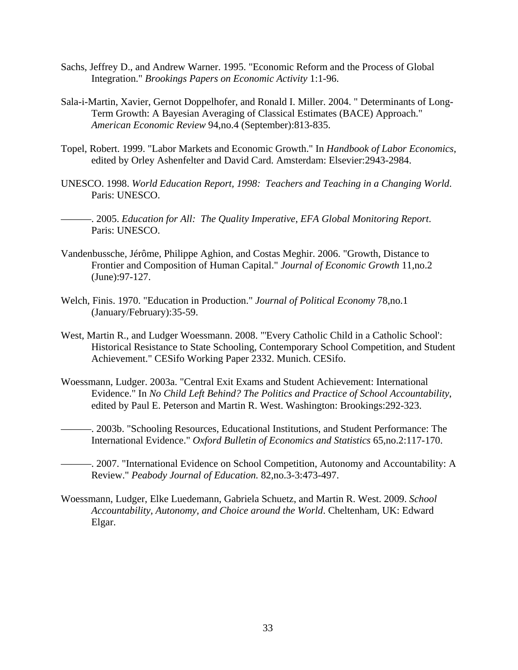- Sachs, Jeffrey D., and Andrew Warner. 1995. "Economic Reform and the Process of Global Integration." *Brookings Papers on Economic Activity* 1:1-96.
- Sala-i-Martin, Xavier, Gernot Doppelhofer, and Ronald I. Miller. 2004. " Determinants of Long-Term Growth: A Bayesian Averaging of Classical Estimates (BACE) Approach." *American Economic Review* 94,no.4 (September):813-835.
- Topel, Robert. 1999. "Labor Markets and Economic Growth." In *Handbook of Labor Economics*, edited by Orley Ashenfelter and David Card. Amsterdam: Elsevier:2943-2984.
- UNESCO. 1998. *World Education Report, 1998: Teachers and Teaching in a Changing World*. Paris: UNESCO.
- ———. 2005. *Education for All: The Quality Imperative*, *EFA Global Monitoring Report*. Paris: UNESCO.
- Vandenbussche, Jérôme, Philippe Aghion, and Costas Meghir. 2006. "Growth, Distance to Frontier and Composition of Human Capital." *Journal of Economic Growth* 11,no.2 (June):97-127.
- Welch, Finis. 1970. "Education in Production." *Journal of Political Economy* 78,no.1 (January/February):35-59.
- West, Martin R., and Ludger Woessmann. 2008. "'Every Catholic Child in a Catholic School': Historical Resistance to State Schooling, Contemporary School Competition, and Student Achievement." CESifo Working Paper 2332. Munich. CESifo.
- Woessmann, Ludger. 2003a. "Central Exit Exams and Student Achievement: International Evidence." In *No Child Left Behind? The Politics and Practice of School Accountability*, edited by Paul E. Peterson and Martin R. West. Washington: Brookings:292-323.
- ———. 2003b. "Schooling Resources, Educational Institutions, and Student Performance: The International Evidence." *Oxford Bulletin of Economics and Statistics* 65,no.2:117-170.
- -. 2007. "International Evidence on School Competition, Autonomy and Accountability: A Review." *Peabody Journal of Education.* 82,no.3-3:473-497.
- Woessmann, Ludger, Elke Luedemann, Gabriela Schuetz, and Martin R. West. 2009. *School Accountability, Autonomy, and Choice around the World*. Cheltenham, UK: Edward Elgar.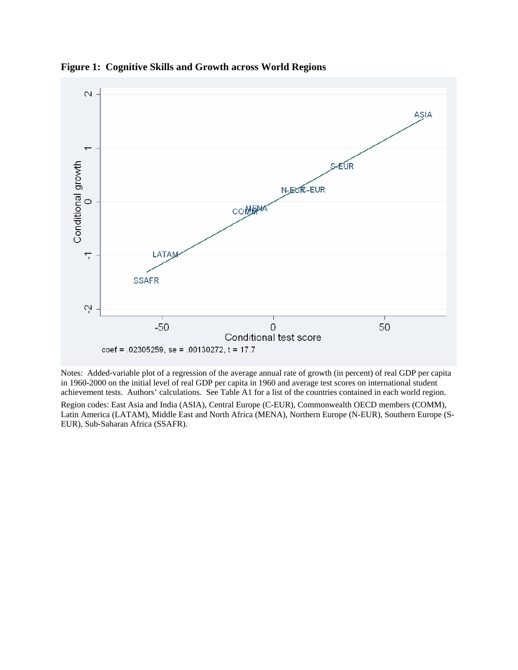

**Figure 1: Cognitive Skills and Growth across World Regions** 

Notes: Added-variable plot of a regression of the average annual rate of growth (in percent) of real GDP per capita in 1960-2000 on the initial level of real GDP per capita in 1960 and average test scores on international student achievement tests. Authors' calculations. See Table A1 for a list of the countries contained in each world region. Region codes: East Asia and India (ASIA), Central Europe (C-EUR), Commonwealth OECD members (COMM), Latin America (LATAM), Middle East and North Africa (MENA), Northern Europe (N-EUR), Southern Europe (S-EUR), Sub-Saharan Africa (SSAFR).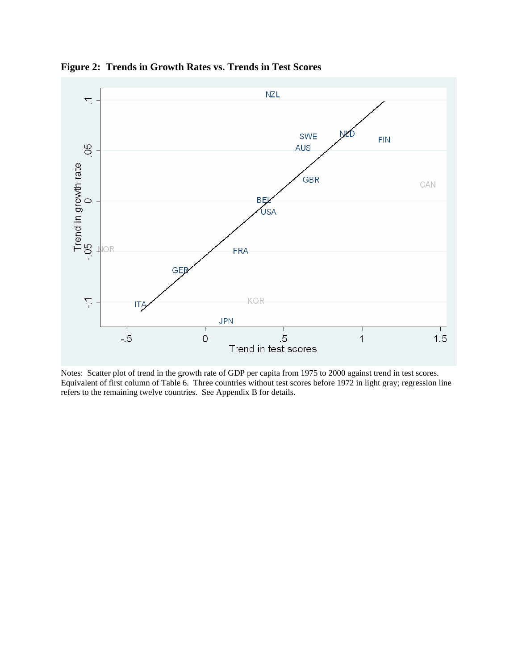

**Figure 2: Trends in Growth Rates vs. Trends in Test Scores** 

Notes: Scatter plot of trend in the growth rate of GDP per capita from 1975 to 2000 against trend in test scores. Equivalent of first column of Table 6. Three countries without test scores before 1972 in light gray; regression line refers to the remaining twelve countries. See Appendix B for details.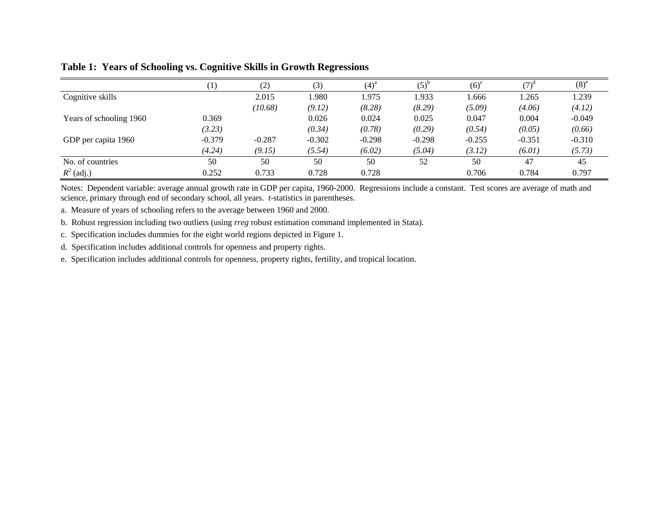|                         |          | (2)      | (3)      | $(4)^{a}$ | $(5)^{r}$ | (6) <sup>c</sup> |          | $(8)^e$  |
|-------------------------|----------|----------|----------|-----------|-----------|------------------|----------|----------|
| Cognitive skills        |          | 2.015    | 1.980    | 1.975     | .933      | .666             | 1.265    | 1.239    |
|                         |          | (10.68)  | (9.12)   | (8.28)    | (8.29)    | (5.09)           | (4.06)   | (4.12)   |
| Years of schooling 1960 | 0.369    |          | 0.026    | 0.024     | 0.025     | 0.047            | 0.004    | $-0.049$ |
|                         | (3.23)   |          | (0.34)   | (0.78)    | (0.29)    | (0.54)           | (0.05)   | (0.66)   |
| GDP per capita 1960     | $-0.379$ | $-0.287$ | $-0.302$ | $-0.298$  | $-0.298$  | $-0.255$         | $-0.351$ | $-0.310$ |
|                         | (4.24)   | (9.15)   | (5.54)   | (6.02)    | (5.04)    | (3.12)           | (6.01)   | (5.73)   |
| No. of countries        | 50       | 50       | 50       | 50        | 52        | 50               | 47       | 45       |
| $R^2$ (adj.)            | 0.252    | 0.733    | 0.728    | 0.728     |           | 0.706            | 0.784    | 0.797    |

#### **Table 1: Years of Schooling vs. Cognitive Skills in Growth Regressions**

Notes: Dependent variable: average annual growth rate in GDP per capita, 1960-2000. Regressions include a constant. Test scores are average of math and science, primary through end of secondary school, all years. *t*-statistics in parentheses.

a. Measure of years of schooling refers to the average between 1960 and 2000.

b. Robust regression including two outliers (using *rreg* robust estimation command implemented in Stata).

c. Specification includes dummies for the eight world regions depicted in Figure 1.

d. Specification includes additional controls for openness and property rights.

e. Specification includes additional controls for openness, property rights, fertility, and tropical location.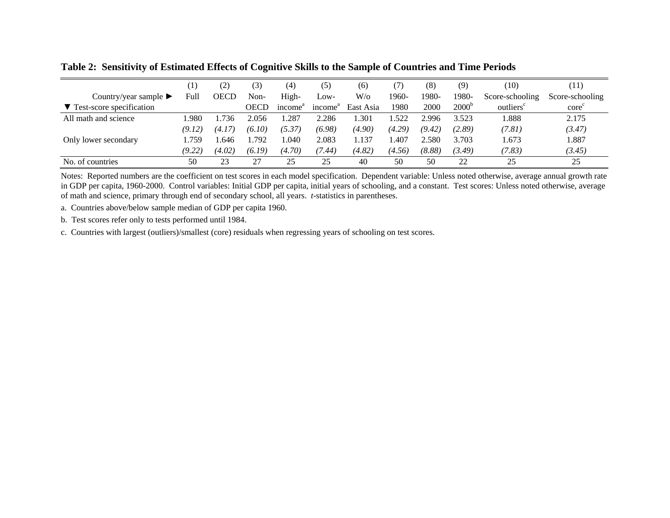|                                               | $\left[1\right]$ | (2)         | (3)    | (4)                 | (5)                 | (6)       | (7)    | (8)    | (9)               | (10)                  | (11)                                 |
|-----------------------------------------------|------------------|-------------|--------|---------------------|---------------------|-----------|--------|--------|-------------------|-----------------------|--------------------------------------|
| Country/year sample $\blacktriangleright$     | Full             | <b>OECD</b> | Non-   | High-               | Low-                | $W$ /0    | 1960-  | 1980-  | 1980-             | Score-schooling       | Score-schooling                      |
| $\blacktriangledown$ Test-score specification |                  |             | OECD   | income <sup>a</sup> | income <sup>"</sup> | East Asia | 1980   | 2000   | 2000 <sup>t</sup> | outliers <sup>c</sup> | $\operatorname{core}^{\mathfrak{c}}$ |
| All math and science                          | .980             | .736        | 2.056  | .287                | 2.286               | .301      | .522   | 2.996  | 3.523             | .888                  | 2.175                                |
|                                               | (9.12)           | (4.17)      | (6.10) | (5.37)              | (6.98)              | (4.90)    | (4.29) | (9.42) | (2.89)            | (7.81)                | (3.47)                               |
| Only lower secondary                          | .759             | .646        | 1.792  | .040                | 2.083               | 1.137     | .407   | 2.580  | 3.703             | .673                  | 1.887                                |
|                                               | (9.22)           | (4.02)      | (6.19) | (4.70)              | (7.44)              | (4.82)    | (4.56) | (8.88) | (3.49)            | (7.83)                | (3.45)                               |
| No. of countries                              | 50               | 23          |        | 25                  | 25                  | 40        | 50     | 50     | 22                | 25                    | 25                                   |

**Table 2: Sensitivity of Estimated Effects of Cognitive Skills to the Sample of Countries and Time Periods** 

Notes: Reported numbers are the coefficient on test scores in each model specification. Dependent variable: Unless noted otherwise, average annual growth rate in GDP per capita, 1960-2000. Control variables: Initial GDP per capita, initial years of schooling, and a constant. Test scores: Unless noted otherwise, average of math and science, primary through end of secondary school, all years. *t*-statistics in parentheses.

a. Countries above/below sample median of GDP per capita 1960.

b. Test scores refer only to tests performed until 1984.

c. Countries with largest (outliers)/smallest (core) residuals when regressing years of schooling on test scores.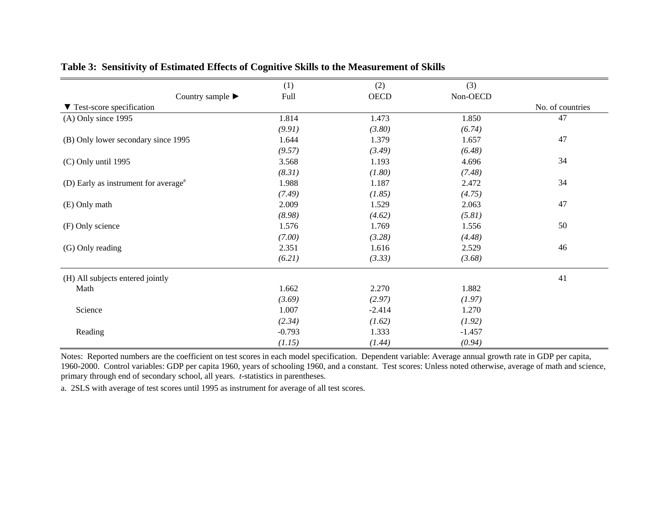|                                                  | (1)      | (2)         | (3)      |                  |
|--------------------------------------------------|----------|-------------|----------|------------------|
| Country sample $\blacktriangleright$             | Full     | <b>OECD</b> | Non-OECD |                  |
| ▼ Test-score specification                       |          |             |          | No. of countries |
| (A) Only since 1995                              | 1.814    | 1.473       | 1.850    | 47               |
|                                                  | (9.91)   | (3.80)      | (6.74)   |                  |
| (B) Only lower secondary since 1995              | 1.644    | 1.379       | 1.657    | 47               |
|                                                  | (9.57)   | (3.49)      | (6.48)   |                  |
| $(C)$ Only until 1995                            | 3.568    | 1.193       | 4.696    | 34               |
|                                                  | (8.31)   | (1.80)      | (7.48)   |                  |
| (D) Early as instrument for average <sup>a</sup> | 1.988    | 1.187       | 2.472    | 34               |
|                                                  | (7.49)   | (1.85)      | (4.75)   |                  |
| (E) Only math                                    | 2.009    | 1.529       | 2.063    | 47               |
|                                                  | (8.98)   | (4.62)      | (5.81)   |                  |
| (F) Only science                                 | 1.576    | 1.769       | 1.556    | 50               |
|                                                  | (7.00)   | (3.28)      | (4.48)   |                  |
| (G) Only reading                                 | 2.351    | 1.616       | 2.529    | 46               |
|                                                  | (6.21)   | (3.33)      | (3.68)   |                  |
| (H) All subjects entered jointly                 |          |             |          | 41               |
| Math                                             | 1.662    | 2.270       | 1.882    |                  |
|                                                  | (3.69)   | (2.97)      | (1.97)   |                  |
| Science                                          | 1.007    | $-2.414$    | 1.270    |                  |
|                                                  | (2.34)   | (1.62)      | (1.92)   |                  |
| Reading                                          | $-0.793$ | 1.333       | $-1.457$ |                  |
|                                                  | (1.15)   | (1.44)      | (0.94)   |                  |

#### **Table 3: Sensitivity of Estimated Effects of Cognitive Skills to the Measurement of Skills**

Notes: Reported numbers are the coefficient on test scores in each model specification. Dependent variable: Average annual growth rate in GDP per capita, 1960-2000. Control variables: GDP per capita 1960, years of schooling 1960, and a constant. Test scores: Unless noted otherwise, average of math and science, primary through end of secondary school, all years. *t*-statistics in parentheses.

a. 2SLS with average of test scores until 1995 as instrument for average of all test scores.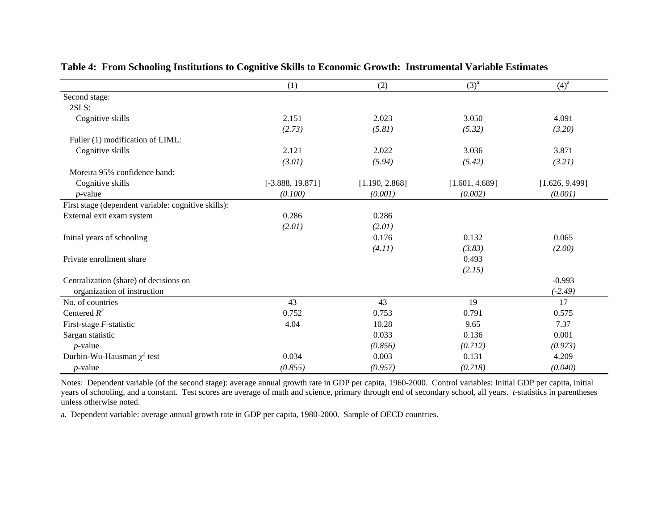|                                                     | (1)                | (2)            | $(3)^{a}$      | $(4)^{a}$      |
|-----------------------------------------------------|--------------------|----------------|----------------|----------------|
| Second stage:                                       |                    |                |                |                |
| 2SLS:                                               |                    |                |                |                |
| Cognitive skills                                    | 2.151              | 2.023          | 3.050          | 4.091          |
|                                                     | (2.73)             | (5.81)         | (5.32)         | (3.20)         |
| Fuller (1) modification of LIML:                    |                    |                |                |                |
| Cognitive skills                                    | 2.121              | 2.022          | 3.036          | 3.871          |
|                                                     | (3.01)             | (5.94)         | (5.42)         | (3.21)         |
| Moreira 95% confidence band:                        |                    |                |                |                |
| Cognitive skills                                    | $[-3.888, 19.871]$ | [1.190, 2.868] | [1.601, 4.689] | [1.626, 9.499] |
| $p$ -value                                          | (0.100)            | (0.001)        | (0.002)        | (0.001)        |
| First stage (dependent variable: cognitive skills): |                    |                |                |                |
| External exit exam system                           | 0.286              | 0.286          |                |                |
|                                                     | (2.01)             | (2.01)         |                |                |
| Initial years of schooling                          |                    | 0.176          | 0.132          | 0.065          |
|                                                     |                    | (4.11)         | (3.83)         | (2.00)         |
| Private enrollment share                            |                    |                | 0.493          |                |
|                                                     |                    |                | (2.15)         |                |
| Centralization (share) of decisions on              |                    |                |                | $-0.993$       |
| organization of instruction                         |                    |                |                | $(-2.49)$      |
| No. of countries                                    | 43                 | 43             | 19             | 17             |
| Centered $R^2$                                      | 0.752              | 0.753          | 0.791          | 0.575          |
| First-stage F-statistic                             | 4.04               | 10.28          | 9.65           | 7.37           |
| Sargan statistic                                    |                    | 0.033          | 0.136          | 0.001          |
| $p$ -value                                          |                    | (0.856)        | (0.712)        | (0.973)        |
| Durbin-Wu-Hausman $\chi^2$ test                     | 0.034              | 0.003          | 0.131          | 4.209          |
| $p$ -value                                          | (0.855)            | (0.957)        | (0.718)        | (0.040)        |

#### **Table 4: From Schooling Institutions to Cognitive Skills to Economic Growth: Instrumental Variable Estimates**

Notes: Dependent variable (of the second stage): average annual growth rate in GDP per capita, 1960-2000. Control variables: Initial GDP per capita, initial years of schooling, and a constant. Test scores are average of math and science, primary through end of secondary school, all years. *t*-statistics in parentheses unless otherwise noted.

a. Dependent variable: average annual growth rate in GDP per capita, 1980-2000. Sample of OECD countries.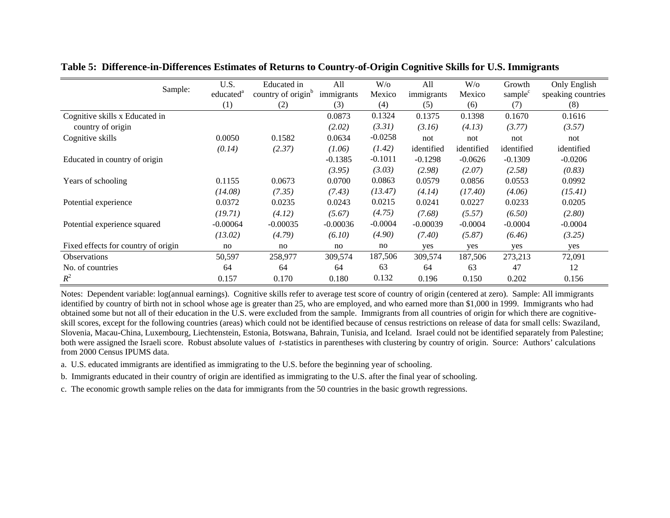|                                     | U.S.                  | Educated in                    | A <sup>11</sup> | $W$ /0    | All        | $W$ /0     | Growth              | Only English       |
|-------------------------------------|-----------------------|--------------------------------|-----------------|-----------|------------|------------|---------------------|--------------------|
| Sample:                             | educated <sup>a</sup> | country of origin <sup>b</sup> | immigrants      | Mexico    | immigrants | Mexico     | sample <sup>c</sup> | speaking countries |
|                                     | (1)                   | (2)                            | (3)             | (4)       | (5)        | (6)        | (7)                 | (8)                |
| Cognitive skills x Educated in      |                       |                                | 0.0873          | 0.1324    | 0.1375     | 0.1398     | 0.1670              | 0.1616             |
| country of origin                   |                       |                                | (2.02)          | (3.31)    | (3.16)     | (4.13)     | (3.77)              | (3.57)             |
| Cognitive skills                    | 0.0050                | 0.1582                         | 0.0634          | $-0.0258$ | not        | not        | not                 | not                |
|                                     | (0.14)                | (2.37)                         | (1.06)          | (1.42)    | identified | identified | identified          | identified         |
| Educated in country of origin       |                       |                                | $-0.1385$       | $-0.1011$ | $-0.1298$  | $-0.0626$  | $-0.1309$           | $-0.0206$          |
|                                     |                       |                                | (3.95)          | (3.03)    | (2.98)     | (2.07)     | (2.58)              | (0.83)             |
| Years of schooling                  | 0.1155                | 0.0673                         | 0.0700          | 0.0863    | 0.0579     | 0.0856     | 0.0553              | 0.0992             |
|                                     | (14.08)               | (7.35)                         | (7.43)          | (13.47)   | (4.14)     | (17.40)    | (4.06)              | (15.41)            |
| Potential experience                | 0.0372                | 0.0235                         | 0.0243          | 0.0215    | 0.0241     | 0.0227     | 0.0233              | 0.0205             |
|                                     | (19.71)               | (4.12)                         | (5.67)          | (4.75)    | (7.68)     | (5.57)     | (6.50)              | (2.80)             |
| Potential experience squared        | $-0.00064$            | $-0.00035$                     | $-0.00036$      | $-0.0004$ | $-0.00039$ | $-0.0004$  | $-0.0004$           | $-0.0004$          |
|                                     | (13.02)               | (4.79)                         | (6.10)          | (4.90)    | (7.40)     | (5.87)     | (6.46)              | (3.25)             |
| Fixed effects for country of origin | no                    | no                             | no              | no        | yes        | yes        | yes                 | yes                |
| <b>Observations</b>                 | 50,597                | 258,977                        | 309,574         | 187,506   | 309,574    | 187,506    | 273,213             | 72,091             |
| No. of countries                    | 64                    | 64                             | 64              | 63        | 64         | 63         | 47                  | 12                 |
| $R^2$                               | 0.157                 | 0.170                          | 0.180           | 0.132     | 0.196      | 0.150      | 0.202               | 0.156              |

**Table 5: Difference-in-Differences Estimates of Returns to Country-of-Origin Cognitive Skills for U.S. Immigrants** 

Notes: Dependent variable: log(annual earnings). Cognitive skills refer to average test score of country of origin (centered at zero). Sample: All immigrants identified by country of birth not in school whose age is greater than 25, who are employed, and who earned more than \$1,000 in 1999. Immigrants who had obtained some but not all of their education in the U.S. were excluded from the sample. Immigrants from all countries of origin for which there are cognitiveskill scores, except for the following countries (areas) which could not be identified because of census restrictions on release of data for small cells: Swaziland, Slovenia, Macau-China, Luxembourg, Liechtenstein, Estonia, Botswana, Bahrain, Tunisia, and Iceland. Israel could not be identified separately from Palestine; both were assigned the Israeli score. Robust absolute values of *t*-statistics in parentheses with clustering by country of origin. Source: Authors' calculations from 2000 Census IPUMS data.

a. U.S. educated immigrants are identified as immigrating to the U.S. before the beginning year of schooling.

b. Immigrants educated in their country of origin are identified as immigrating to the U.S. after the final year of schooling.

c. The economic growth sample relies on the data for immigrants from the 50 countries in the basic growth regressions.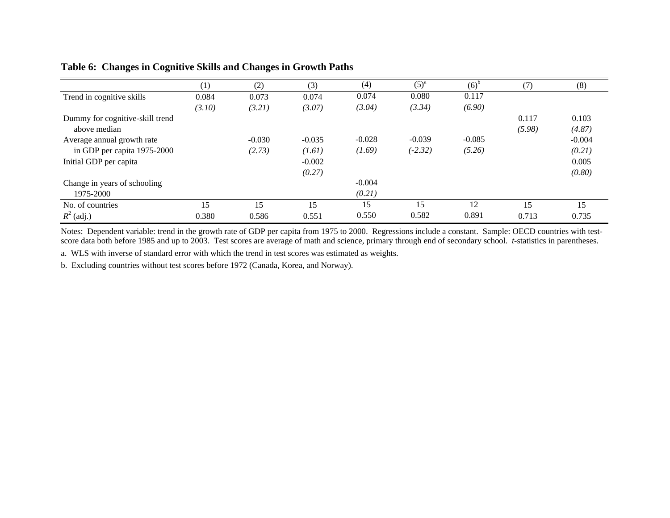|                                 | (1)    | (2)      | (3)      | (4)      | $(5)^a$   | $(6)^{b}$ | (7)    | (8)      |
|---------------------------------|--------|----------|----------|----------|-----------|-----------|--------|----------|
| Trend in cognitive skills       | 0.084  | 0.073    | 0.074    | 0.074    | 0.080     | 0.117     |        |          |
|                                 | (3.10) | (3.21)   | (3.07)   | (3.04)   | (3.34)    | (6.90)    |        |          |
| Dummy for cognitive-skill trend |        |          |          |          |           |           | 0.117  | 0.103    |
| above median                    |        |          |          |          |           |           | (5.98) | (4.87)   |
| Average annual growth rate      |        | $-0.030$ | $-0.035$ | $-0.028$ | $-0.039$  | $-0.085$  |        | $-0.004$ |
| in GDP per capita 1975-2000     |        | (2.73)   | (1.61)   | (1.69)   | $(-2.32)$ | (5.26)    |        | (0.21)   |
| Initial GDP per capita          |        |          | $-0.002$ |          |           |           |        | 0.005    |
|                                 |        |          | (0.27)   |          |           |           |        | (0.80)   |
| Change in years of schooling    |        |          |          | $-0.004$ |           |           |        |          |
| 1975-2000                       |        |          |          | (0.21)   |           |           |        |          |
| No. of countries                | 15     | 15       | 15       | 15       | 15        | 12        | 15     | 15       |
| $R^2$ (adj.)                    | 0.380  | 0.586    | 0.551    | 0.550    | 0.582     | 0.891     | 0.713  | 0.735    |

#### **Table 6: Changes in Cognitive Skills and Changes in Growth Paths**

Notes: Dependent variable: trend in the growth rate of GDP per capita from 1975 to 2000. Regressions include a constant. Sample: OECD countries with testscore data both before 1985 and up to 2003. Test scores are average of math and science, primary through end of secondary school. *t*-statistics in parentheses.

a. WLS with inverse of standard error with which the trend in test scores was estimated as weights.

b. Excluding countries without test scores before 1972 (Canada, Korea, and Norway).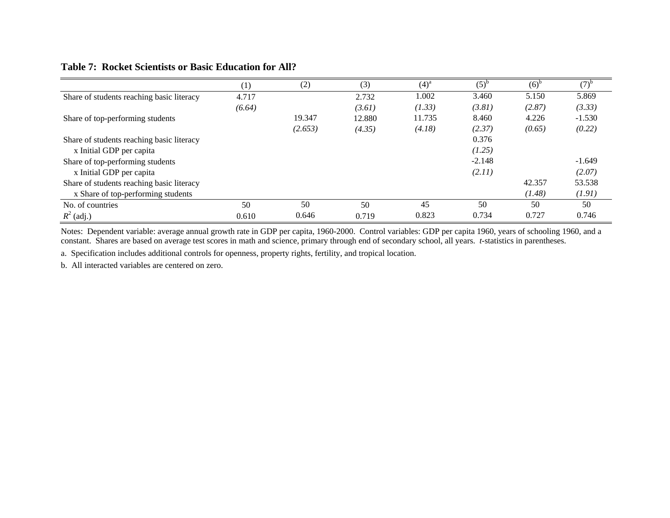#### **Table 7: Rocket Scientists or Basic Education for All?**

|                                           | $_{1}$ | (2)     | (3)    | $(4)^{a}$ | $(5)^{b}$ | (6) <sup>b</sup> | $(7)^{r}$ |
|-------------------------------------------|--------|---------|--------|-----------|-----------|------------------|-----------|
| Share of students reaching basic literacy | 4.717  |         | 2.732  | 1.002     | 3.460     | 5.150            | 5.869     |
|                                           | (6.64) |         | (3.61) | (1.33)    | (3.81)    | (2.87)           | (3.33)    |
| Share of top-performing students          |        | 19.347  | 12.880 | 11.735    | 8.460     | 4.226            | $-1.530$  |
|                                           |        | (2.653) | (4.35) | (4.18)    | (2.37)    | (0.65)           | (0.22)    |
| Share of students reaching basic literacy |        |         |        |           | 0.376     |                  |           |
| x Initial GDP per capita                  |        |         |        |           | (1.25)    |                  |           |
| Share of top-performing students          |        |         |        |           | $-2.148$  |                  | $-1.649$  |
| x Initial GDP per capita                  |        |         |        |           | (2.11)    |                  | (2.07)    |
| Share of students reaching basic literacy |        |         |        |           |           | 42.357           | 53.538    |
| x Share of top-performing students        |        |         |        |           |           | (1.48)           | (1.91)    |
| No. of countries                          | 50     | 50      | 50     | 45        | 50        | 50               | 50        |
| $R^2$ (adj.)                              | 0.610  | 0.646   | 0.719  | 0.823     | 0.734     | 0.727            | 0.746     |

Notes: Dependent variable: average annual growth rate in GDP per capita, 1960-2000. Control variables: GDP per capita 1960, years of schooling 1960, and a constant. Shares are based on average test scores in math and science, primary through end of secondary school, all years. *t*-statistics in parentheses.

a. Specification includes additional controls for openness, property rights, fertility, and tropical location.

b. All interacted variables are centered on zero.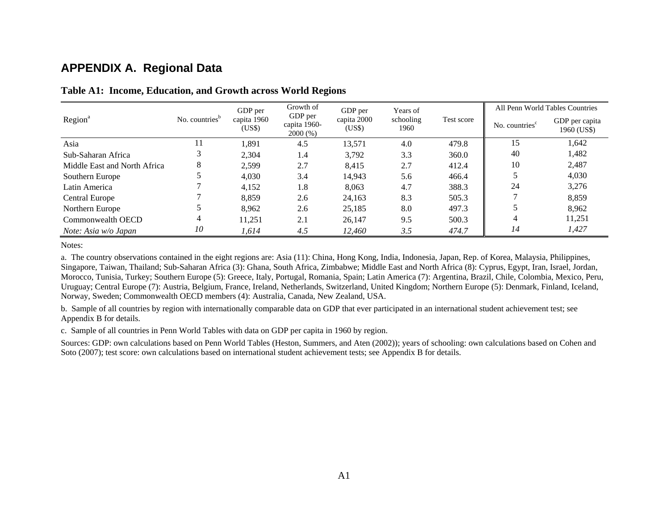### **APPENDIX A. Regional Data**

|                              |                            | GDP per               | Growth of                          | GDP per               | Years of          |            |                            | All Penn World Tables Countries |
|------------------------------|----------------------------|-----------------------|------------------------------------|-----------------------|-------------------|------------|----------------------------|---------------------------------|
| Region <sup>a</sup>          | No. countries <sup>b</sup> | capita 1960<br>(US\$) | GDP per<br>capita 1960-<br>2000(%) | capita 2000<br>(US\$) | schooling<br>1960 | Test score | No. countries <sup>c</sup> | GDP per capita<br>1960 (US\$)   |
| Asia                         |                            | 1,891                 | 4.5                                | 13,571                | 4.0               | 479.8      | 15                         | 1,642                           |
| Sub-Saharan Africa           |                            | 2.304                 | 1.4                                | 3,792                 | 3.3               | 360.0      | 40                         | 1,482                           |
| Middle East and North Africa | 8                          | 2,599                 | 2.7                                | 8,415                 | 2.7               | 412.4      | 10                         | 2,487                           |
| Southern Europe              |                            | 4,030                 | 3.4                                | 14,943                | 5.6               | 466.4      |                            | 4,030                           |
| Latin America                |                            | 4,152                 | 1.8                                | 8,063                 | 4.7               | 388.3      | 24                         | 3,276                           |
| Central Europe               |                            | 8,859                 | 2.6                                | 24,163                | 8.3               | 505.3      |                            | 8,859                           |
| Northern Europe              |                            | 8.962                 | 2.6                                | 25,185                | 8.0               | 497.3      |                            | 8,962                           |
| Commonwealth OECD            | 4                          | 11,251                | 2.1                                | 26,147                | 9.5               | 500.3      | 4                          | 11,251                          |
| Note: Asia w/o Japan         | 10                         | 1,614                 | 4.5                                | 12,460                | 3.5               | 474.7      | 14                         | 1,427                           |

#### **Table A1: Income, Education, and Growth across World Regions**

Notes:

a. The country observations contained in the eight regions are: Asia (11): China, Hong Kong, India, Indonesia, Japan, Rep. of Korea, Malaysia, Philippines, Singapore, Taiwan, Thailand; Sub-Saharan Africa (3): Ghana, South Africa, Zimbabwe; Middle East and North Africa (8): Cyprus, Egypt, Iran, Israel, Jordan, Morocco, Tunisia, Turkey; Southern Europe (5): Greece, Italy, Portugal, Romania, Spain; Latin America (7): Argentina, Brazil, Chile, Colombia, Mexico, Peru, Uruguay; Central Europe (7): Austria, Belgium, France, Ireland, Netherlands, Switzerland, United Kingdom; Northern Europe (5): Denmark, Finland, Iceland, Norway, Sweden; Commonwealth OECD members (4): Australia, Canada, New Zealand, USA.

b. Sample of all countries by region with internationally comparable data on GDP that ever participated in an international student achievement test; see Appendix B for details.

c. Sample of all countries in Penn World Tables with data on GDP per capita in 1960 by region.

Sources: GDP: own calculations based on Penn World Tables (Heston, Summers, and Aten (2002)); years of schooling: own calculations based on Cohen and Soto (2007); test score: own calculations based on international student achievement tests; see Appendix B for details.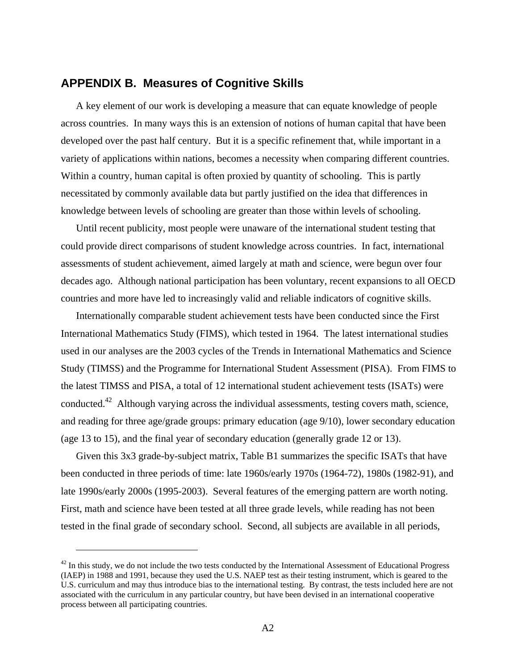#### **APPENDIX B. Measures of Cognitive Skills**

A key element of our work is developing a measure that can equate knowledge of people across countries. In many ways this is an extension of notions of human capital that have been developed over the past half century. But it is a specific refinement that, while important in a variety of applications within nations, becomes a necessity when comparing different countries. Within a country, human capital is often proxied by quantity of schooling. This is partly necessitated by commonly available data but partly justified on the idea that differences in knowledge between levels of schooling are greater than those within levels of schooling.

Until recent publicity, most people were unaware of the international student testing that could provide direct comparisons of student knowledge across countries. In fact, international assessments of student achievement, aimed largely at math and science, were begun over four decades ago. Although national participation has been voluntary, recent expansions to all OECD countries and more have led to increasingly valid and reliable indicators of cognitive skills.

Internationally comparable student achievement tests have been conducted since the First International Mathematics Study (FIMS), which tested in 1964. The latest international studies used in our analyses are the 2003 cycles of the Trends in International Mathematics and Science Study (TIMSS) and the Programme for International Student Assessment (PISA). From FIMS to the latest TIMSS and PISA, a total of 12 international student achievement tests (ISATs) were conducted.<sup>42</sup> Although varying across the individual assessments, testing covers math, science, and reading for three age/grade groups: primary education (age 9/10), lower secondary education (age 13 to 15), and the final year of secondary education (generally grade 12 or 13).

Given this 3x3 grade-by-subject matrix, Table B1 summarizes the specific ISATs that have been conducted in three periods of time: late 1960s/early 1970s (1964-72), 1980s (1982-91), and late 1990s/early 2000s (1995-2003). Several features of the emerging pattern are worth noting. First, math and science have been tested at all three grade levels, while reading has not been tested in the final grade of secondary school. Second, all subjects are available in all periods,

 $42$  In this study, we do not include the two tests conducted by the International Assessment of Educational Progress (IAEP) in 1988 and 1991, because they used the U.S. NAEP test as their testing instrument, which is geared to the U.S. curriculum and may thus introduce bias to the international testing. By contrast, the tests included here are not associated with the curriculum in any particular country, but have been devised in an international cooperative process between all participating countries.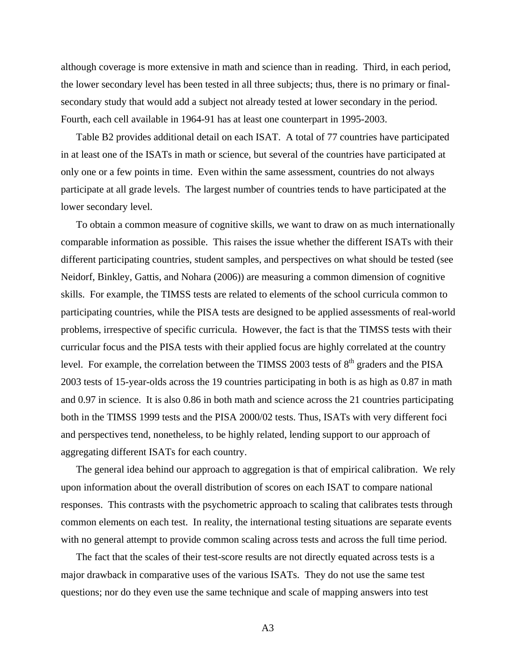although coverage is more extensive in math and science than in reading. Third, in each period, the lower secondary level has been tested in all three subjects; thus, there is no primary or finalsecondary study that would add a subject not already tested at lower secondary in the period. Fourth, each cell available in 1964-91 has at least one counterpart in 1995-2003.

Table B2 provides additional detail on each ISAT. A total of 77 countries have participated in at least one of the ISATs in math or science, but several of the countries have participated at only one or a few points in time. Even within the same assessment, countries do not always participate at all grade levels. The largest number of countries tends to have participated at the lower secondary level.

To obtain a common measure of cognitive skills, we want to draw on as much internationally comparable information as possible. This raises the issue whether the different ISATs with their different participating countries, student samples, and perspectives on what should be tested (see Neidorf, Binkley, Gattis, and Nohara (2006)) are measuring a common dimension of cognitive skills. For example, the TIMSS tests are related to elements of the school curricula common to participating countries, while the PISA tests are designed to be applied assessments of real-world problems, irrespective of specific curricula. However, the fact is that the TIMSS tests with their curricular focus and the PISA tests with their applied focus are highly correlated at the country level. For example, the correlation between the TIMSS 2003 tests of  $8<sup>th</sup>$  graders and the PISA 2003 tests of 15-year-olds across the 19 countries participating in both is as high as 0.87 in math and 0.97 in science. It is also 0.86 in both math and science across the 21 countries participating both in the TIMSS 1999 tests and the PISA 2000/02 tests. Thus, ISATs with very different foci and perspectives tend, nonetheless, to be highly related, lending support to our approach of aggregating different ISATs for each country.

The general idea behind our approach to aggregation is that of empirical calibration. We rely upon information about the overall distribution of scores on each ISAT to compare national responses. This contrasts with the psychometric approach to scaling that calibrates tests through common elements on each test. In reality, the international testing situations are separate events with no general attempt to provide common scaling across tests and across the full time period.

The fact that the scales of their test-score results are not directly equated across tests is a major drawback in comparative uses of the various ISATs. They do not use the same test questions; nor do they even use the same technique and scale of mapping answers into test

A3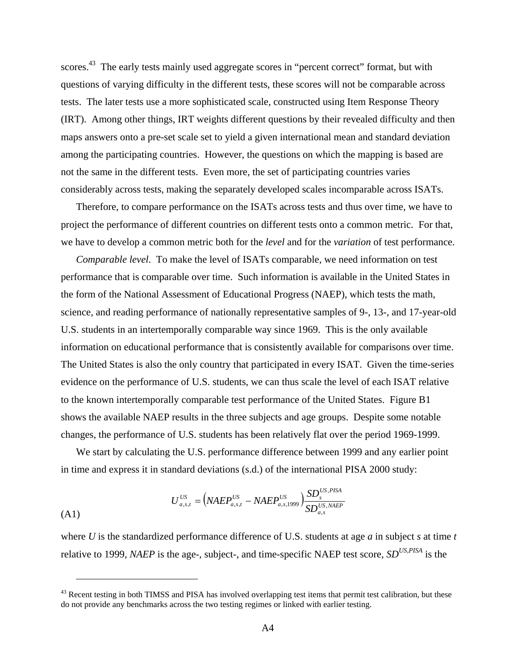scores.<sup>43</sup> The early tests mainly used aggregate scores in "percent correct" format, but with questions of varying difficulty in the different tests, these scores will not be comparable across tests. The later tests use a more sophisticated scale, constructed using Item Response Theory (IRT). Among other things, IRT weights different questions by their revealed difficulty and then maps answers onto a pre-set scale set to yield a given international mean and standard deviation among the participating countries. However, the questions on which the mapping is based are not the same in the different tests. Even more, the set of participating countries varies considerably across tests, making the separately developed scales incomparable across ISATs.

Therefore, to compare performance on the ISATs across tests and thus over time, we have to project the performance of different countries on different tests onto a common metric. For that, we have to develop a common metric both for the *level* and for the *variation* of test performance.

*Comparable level*. To make the level of ISATs comparable, we need information on test performance that is comparable over time. Such information is available in the United States in the form of the National Assessment of Educational Progress (NAEP), which tests the math, science, and reading performance of nationally representative samples of 9-, 13-, and 17-year-old U.S. students in an intertemporally comparable way since 1969. This is the only available information on educational performance that is consistently available for comparisons over time. The United States is also the only country that participated in every ISAT. Given the time-series evidence on the performance of U.S. students, we can thus scale the level of each ISAT relative to the known intertemporally comparable test performance of the United States. Figure B1 shows the available NAEP results in the three subjects and age groups. Despite some notable changes, the performance of U.S. students has been relatively flat over the period 1969-1999.

We start by calculating the U.S. performance difference between 1999 and any earlier point in time and express it in standard deviations (s.d.) of the international PISA 2000 study:

$$
U_{a,s,t}^{US} = (NAEP_{a,s,t}^{US} - NAEP_{a,s,1999}^{US}) \frac{SD_s^{US,PISA}}{SD_{a,s}^{US,NAEP}}
$$

1

where *U* is the standardized performance difference of U.S. students at age *a* in subject *s* at time *t* relative to 1999, *NAEP* is the age-, subject-, and time-specific NAEP test score, *SDUS,PISA* is the

<sup>&</sup>lt;sup>43</sup> Recent testing in both TIMSS and PISA has involved overlapping test items that permit test calibration, but these do not provide any benchmarks across the two testing regimes or linked with earlier testing.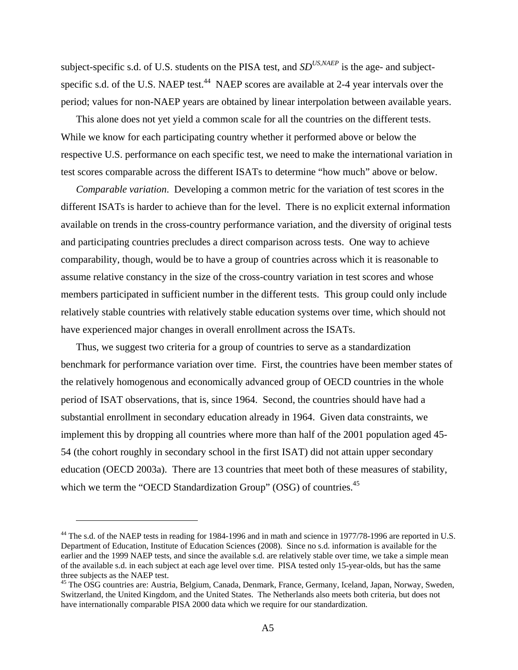subject-specific s.d. of U.S. students on the PISA test, and *SD<sup>US,NAEP*</sup> is the age- and subjectspecific s.d. of the U.S. NAEP test.<sup>44</sup> NAEP scores are available at 2-4 year intervals over the period; values for non-NAEP years are obtained by linear interpolation between available years.

This alone does not yet yield a common scale for all the countries on the different tests. While we know for each participating country whether it performed above or below the respective U.S. performance on each specific test, we need to make the international variation in test scores comparable across the different ISATs to determine "how much" above or below.

*Comparable variation*. Developing a common metric for the variation of test scores in the different ISATs is harder to achieve than for the level. There is no explicit external information available on trends in the cross-country performance variation, and the diversity of original tests and participating countries precludes a direct comparison across tests. One way to achieve comparability, though, would be to have a group of countries across which it is reasonable to assume relative constancy in the size of the cross-country variation in test scores and whose members participated in sufficient number in the different tests. This group could only include relatively stable countries with relatively stable education systems over time, which should not have experienced major changes in overall enrollment across the ISATs.

Thus, we suggest two criteria for a group of countries to serve as a standardization benchmark for performance variation over time. First, the countries have been member states of the relatively homogenous and economically advanced group of OECD countries in the whole period of ISAT observations, that is, since 1964. Second, the countries should have had a substantial enrollment in secondary education already in 1964. Given data constraints, we implement this by dropping all countries where more than half of the 2001 population aged 45- 54 (the cohort roughly in secondary school in the first ISAT) did not attain upper secondary education (OECD 2003a). There are 13 countries that meet both of these measures of stability, which we term the "OECD Standardization Group" (OSG) of countries.<sup>45</sup>

<sup>&</sup>lt;sup>44</sup> The s.d. of the NAEP tests in reading for 1984-1996 and in math and science in 1977/78-1996 are reported in U.S. Department of Education, Institute of Education Sciences (2008). Since no s.d. information is available for the earlier and the 1999 NAEP tests, and since the available s.d. are relatively stable over time, we take a simple mean of the available s.d. in each subject at each age level over time. PISA tested only 15-year-olds, but has the same three subjects as the NAEP test.

<sup>&</sup>lt;sup>45</sup> The OSG countries are: Austria, Belgium, Canada, Denmark, France, Germany, Iceland, Japan, Norway, Sweden, Switzerland, the United Kingdom, and the United States. The Netherlands also meets both criteria, but does not have internationally comparable PISA 2000 data which we require for our standardization.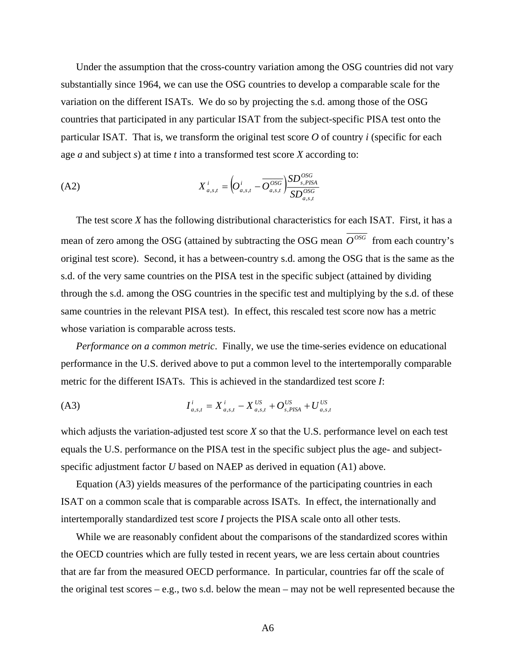Under the assumption that the cross-country variation among the OSG countries did not vary substantially since 1964, we can use the OSG countries to develop a comparable scale for the variation on the different ISATs. We do so by projecting the s.d. among those of the OSG countries that participated in any particular ISAT from the subject-specific PISA test onto the particular ISAT. That is, we transform the original test score  $O$  of country  $i$  (specific for each age *a* and subject *s*) at time *t* into a transformed test score *X* according to:

(A2) 
$$
X_{a,s,t}^{i} = \left( O_{a,s,t}^{i} - \overline{O_{a,s,t}^{OSG}} \right) \frac{SD_{s,PISA}^{OSG}}{SD_{a,s,t}^{OSG}}
$$

The test score *X* has the following distributional characteristics for each ISAT. First, it has a mean of zero among the OSG (attained by subtracting the OSG mean  $\overline{O^{OSG}}$  from each country's original test score). Second, it has a between-country s.d. among the OSG that is the same as the s.d. of the very same countries on the PISA test in the specific subject (attained by dividing through the s.d. among the OSG countries in the specific test and multiplying by the s.d. of these same countries in the relevant PISA test). In effect, this rescaled test score now has a metric whose variation is comparable across tests.

*Performance on a common metric*. Finally, we use the time-series evidence on educational performance in the U.S. derived above to put a common level to the intertemporally comparable metric for the different ISATs. This is achieved in the standardized test score *I*:

$$
I_{a,s,t}^i = X_{a,s,t}^i - X_{a,s,t}^{US} + O_{s,PISA}^{US} + U_{a,s,t}^{US}
$$

which adjusts the variation-adjusted test score *X* so that the U.S. performance level on each test equals the U.S. performance on the PISA test in the specific subject plus the age- and subjectspecific adjustment factor *U* based on NAEP as derived in equation (A1) above.

Equation (A3) yields measures of the performance of the participating countries in each ISAT on a common scale that is comparable across ISATs. In effect, the internationally and intertemporally standardized test score *I* projects the PISA scale onto all other tests.

While we are reasonably confident about the comparisons of the standardized scores within the OECD countries which are fully tested in recent years, we are less certain about countries that are far from the measured OECD performance. In particular, countries far off the scale of the original test scores – e.g., two s.d. below the mean – may not be well represented because the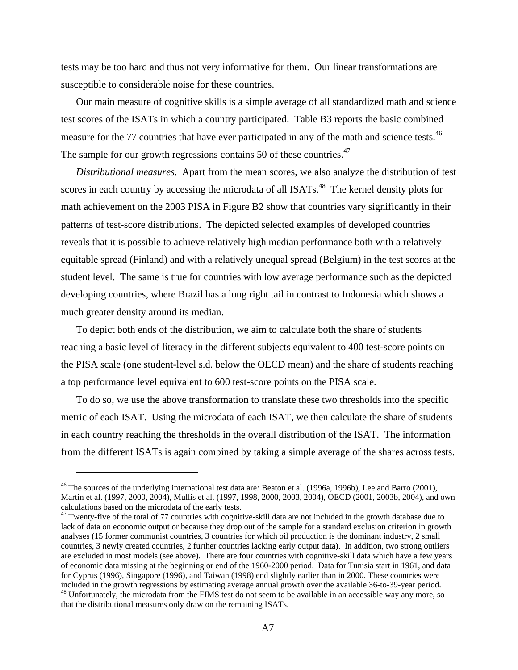tests may be too hard and thus not very informative for them. Our linear transformations are susceptible to considerable noise for these countries.

Our main measure of cognitive skills is a simple average of all standardized math and science test scores of the ISATs in which a country participated. Table B3 reports the basic combined measure for the 77 countries that have ever participated in any of the math and science tests.<sup>46</sup> The sample for our growth regressions contains 50 of these countries.<sup>47</sup>

*Distributional measures*. Apart from the mean scores, we also analyze the distribution of test scores in each country by accessing the microdata of all ISATs.<sup>48</sup> The kernel density plots for math achievement on the 2003 PISA in Figure B2 show that countries vary significantly in their patterns of test-score distributions. The depicted selected examples of developed countries reveals that it is possible to achieve relatively high median performance both with a relatively equitable spread (Finland) and with a relatively unequal spread (Belgium) in the test scores at the student level. The same is true for countries with low average performance such as the depicted developing countries, where Brazil has a long right tail in contrast to Indonesia which shows a much greater density around its median.

To depict both ends of the distribution, we aim to calculate both the share of students reaching a basic level of literacy in the different subjects equivalent to 400 test-score points on the PISA scale (one student-level s.d. below the OECD mean) and the share of students reaching a top performance level equivalent to 600 test-score points on the PISA scale.

To do so, we use the above transformation to translate these two thresholds into the specific metric of each ISAT. Using the microdata of each ISAT, we then calculate the share of students in each country reaching the thresholds in the overall distribution of the ISAT. The information from the different ISATs is again combined by taking a simple average of the shares across tests.

<u>.</u>

<sup>46</sup> The sources of the underlying international test data are*:* Beaton et al. (1996a, 1996b), Lee and Barro (2001), Martin et al. (1997, 2000, 2004), Mullis et al. (1997, 1998, 2000, 2003, 2004), OECD (2001, 2003b, 2004), and own calculations based on the microdata of the early tests.

 $47$  Twenty-five of the total of 77 countries with cognitive-skill data are not included in the growth database due to lack of data on economic output or because they drop out of the sample for a standard exclusion criterion in growth analyses (15 former communist countries, 3 countries for which oil production is the dominant industry, 2 small countries, 3 newly created countries, 2 further countries lacking early output data). In addition, two strong outliers are excluded in most models (see above). There are four countries with cognitive-skill data which have a few years of economic data missing at the beginning or end of the 1960-2000 period. Data for Tunisia start in 1961, and data for Cyprus (1996), Singapore (1996), and Taiwan (1998) end slightly earlier than in 2000. These countries were included in the growth regressions by estimating average annual growth over the available 36-to-39-year period. <sup>48</sup> Unfortunately, the microdata from the FIMS test do not seem to be available in an accessible way any more, so that the distributional measures only draw on the remaining ISATs.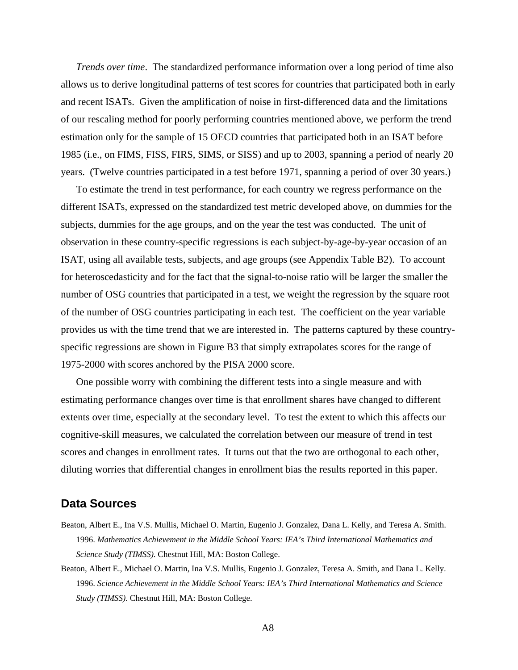*Trends over time*. The standardized performance information over a long period of time also allows us to derive longitudinal patterns of test scores for countries that participated both in early and recent ISATs. Given the amplification of noise in first-differenced data and the limitations of our rescaling method for poorly performing countries mentioned above, we perform the trend estimation only for the sample of 15 OECD countries that participated both in an ISAT before 1985 (i.e., on FIMS, FISS, FIRS, SIMS, or SISS) and up to 2003, spanning a period of nearly 20 years. (Twelve countries participated in a test before 1971, spanning a period of over 30 years.)

To estimate the trend in test performance, for each country we regress performance on the different ISATs, expressed on the standardized test metric developed above, on dummies for the subjects, dummies for the age groups, and on the year the test was conducted. The unit of observation in these country-specific regressions is each subject-by-age-by-year occasion of an ISAT, using all available tests, subjects, and age groups (see Appendix Table B2). To account for heteroscedasticity and for the fact that the signal-to-noise ratio will be larger the smaller the number of OSG countries that participated in a test, we weight the regression by the square root of the number of OSG countries participating in each test. The coefficient on the year variable provides us with the time trend that we are interested in. The patterns captured by these countryspecific regressions are shown in Figure B3 that simply extrapolates scores for the range of 1975-2000 with scores anchored by the PISA 2000 score.

One possible worry with combining the different tests into a single measure and with estimating performance changes over time is that enrollment shares have changed to different extents over time, especially at the secondary level. To test the extent to which this affects our cognitive-skill measures, we calculated the correlation between our measure of trend in test scores and changes in enrollment rates. It turns out that the two are orthogonal to each other, diluting worries that differential changes in enrollment bias the results reported in this paper.

#### **Data Sources**

- Beaton, Albert E., Ina V.S. Mullis, Michael O. Martin, Eugenio J. Gonzalez, Dana L. Kelly, and Teresa A. Smith. 1996. *Mathematics Achievement in the Middle School Years: IEA's Third International Mathematics and Science Study (TIMSS)*. Chestnut Hill, MA: Boston College.
- Beaton, Albert E., Michael O. Martin, Ina V.S. Mullis, Eugenio J. Gonzalez, Teresa A. Smith, and Dana L. Kelly. 1996. *Science Achievement in the Middle School Years: IEA's Third International Mathematics and Science Study (TIMSS)*. Chestnut Hill, MA: Boston College.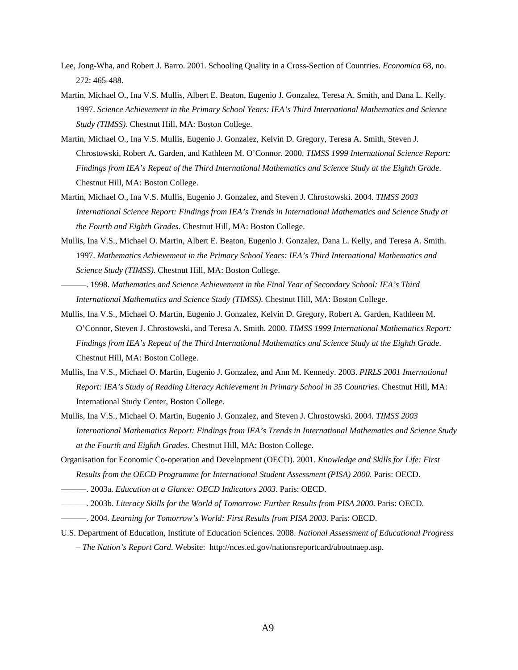- Lee, Jong-Wha, and Robert J. Barro. 2001. Schooling Quality in a Cross-Section of Countries. *Economica* 68, no. 272: 465-488.
- Martin, Michael O., Ina V.S. Mullis, Albert E. Beaton, Eugenio J. Gonzalez, Teresa A. Smith, and Dana L. Kelly. 1997. *Science Achievement in the Primary School Years: IEA's Third International Mathematics and Science Study (TIMSS)*. Chestnut Hill, MA: Boston College.
- Martin, Michael O., Ina V.S. Mullis, Eugenio J. Gonzalez, Kelvin D. Gregory, Teresa A. Smith, Steven J. Chrostowski, Robert A. Garden, and Kathleen M. O'Connor. 2000. *TIMSS 1999 International Science Report: Findings from IEA's Repeat of the Third International Mathematics and Science Study at the Eighth Grade*. Chestnut Hill, MA: Boston College.
- Martin, Michael O., Ina V.S. Mullis, Eugenio J. Gonzalez, and Steven J. Chrostowski. 2004. *TIMSS 2003 International Science Report: Findings from IEA's Trends in International Mathematics and Science Study at the Fourth and Eighth Grades*. Chestnut Hill, MA: Boston College.
- Mullis, Ina V.S., Michael O. Martin, Albert E. Beaton, Eugenio J. Gonzalez, Dana L. Kelly, and Teresa A. Smith. 1997. *Mathematics Achievement in the Primary School Years: IEA's Third International Mathematics and Science Study (TIMSS)*. Chestnut Hill, MA: Boston College.
- ———. 1998. *Mathematics and Science Achievement in the Final Year of Secondary School: IEA's Third International Mathematics and Science Study (TIMSS)*. Chestnut Hill, MA: Boston College.
- Mullis, Ina V.S., Michael O. Martin, Eugenio J. Gonzalez, Kelvin D. Gregory, Robert A. Garden, Kathleen M. O'Connor, Steven J. Chrostowski, and Teresa A. Smith. 2000. *TIMSS 1999 International Mathematics Report: Findings from IEA's Repeat of the Third International Mathematics and Science Study at the Eighth Grade*. Chestnut Hill, MA: Boston College.
- Mullis, Ina V.S., Michael O. Martin, Eugenio J. Gonzalez, and Ann M. Kennedy. 2003. *PIRLS 2001 International Report: IEA's Study of Reading Literacy Achievement in Primary School in 35 Countries*. Chestnut Hill, MA: International Study Center, Boston College.
- Mullis, Ina V.S., Michael O. Martin, Eugenio J. Gonzalez, and Steven J. Chrostowski. 2004. *TIMSS 2003 International Mathematics Report: Findings from IEA's Trends in International Mathematics and Science Study at the Fourth and Eighth Grades*. Chestnut Hill, MA: Boston College.
- Organisation for Economic Co-operation and Development (OECD). 2001. *Knowledge and Skills for Life: First Results from the OECD Programme for International Student Assessment (PISA) 2000*. Paris: OECD.
- ———. 2003a. *Education at a Glance: OECD Indicators 2003*. Paris: OECD.
- ———. 2003b. *Literacy Skills for the World of Tomorrow: Further Results from PISA 2000*. Paris: OECD.
- ———. 2004. *Learning for Tomorrow's World: First Results from PISA 2003*. Paris: OECD.
- U.S. Department of Education, Institute of Education Sciences. 2008. *National Assessment of Educational Progress – The Nation's Report Card*. Website: http://nces.ed.gov/nationsreportcard/aboutnaep.asp.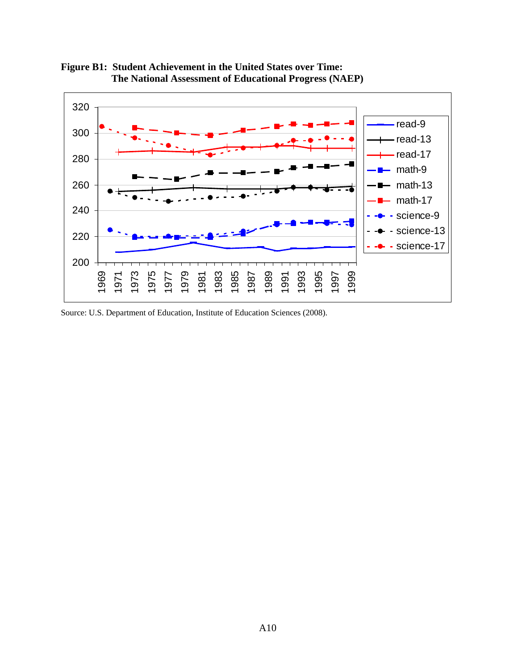

**Figure B1: Student Achievement in the United States over Time: The National Assessment of Educational Progress (NAEP)** 

Source: U.S. Department of Education, Institute of Education Sciences (2008).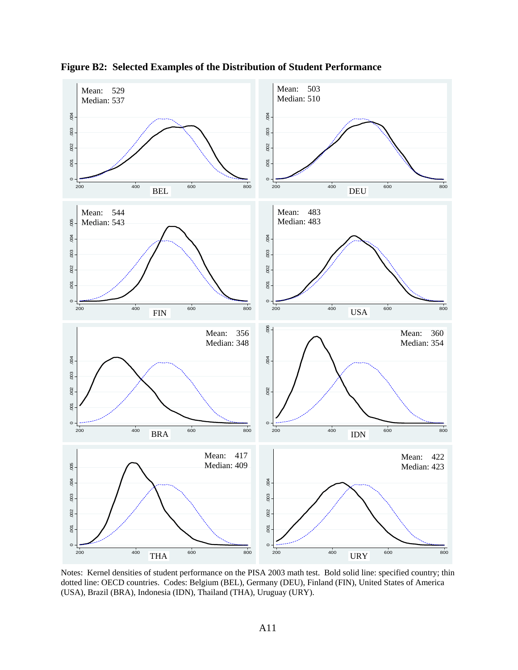

**Figure B2: Selected Examples of the Distribution of Student Performance** 

Notes: Kernel densities of student performance on the PISA 2003 math test. Bold solid line: specified country; thin dotted line: OECD countries. Codes: Belgium (BEL), Germany (DEU), Finland (FIN), United States of America (USA), Brazil (BRA), Indonesia (IDN), Thailand (THA), Uruguay (URY).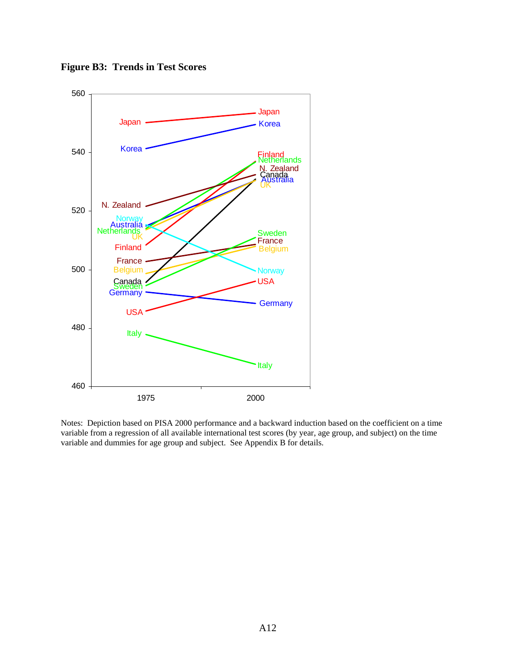**Figure B3: Trends in Test Scores** 



Notes: Depiction based on PISA 2000 performance and a backward induction based on the coefficient on a time variable from a regression of all available international test scores (by year, age group, and subject) on the time variable and dummies for age group and subject. See Appendix B for details.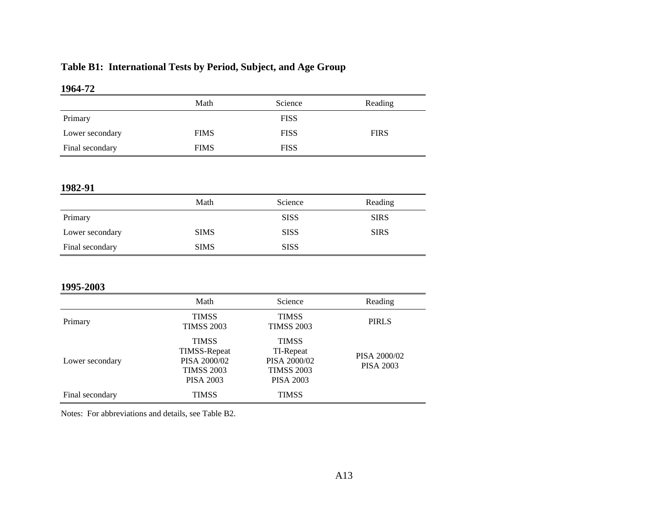# **Table B1: International Tests by Period, Subject, and Age Group**

#### **1964-72**

|                 | Math        | Science     | Reading     |
|-----------------|-------------|-------------|-------------|
| Primary         |             | <b>FISS</b> |             |
| Lower secondary | <b>FIMS</b> | <b>FISS</b> | <b>FIRS</b> |
| Final secondary | <b>FIMS</b> | <b>FISS</b> |             |

#### **1982-91**

| $\rightarrow$ $\rightarrow$ $\rightarrow$ $\rightarrow$ |             |             |             |
|---------------------------------------------------------|-------------|-------------|-------------|
|                                                         | Math        | Science     | Reading     |
| Primary                                                 |             | <b>SISS</b> | <b>SIRS</b> |
| Lower secondary                                         | <b>SIMS</b> | <b>SISS</b> | <b>SIRS</b> |
| Final secondary                                         | <b>SIMS</b> | <b>SISS</b> |             |

#### **1995-2003**

| 1770-200J       |                                                                                              |                                                                                    |                                  |
|-----------------|----------------------------------------------------------------------------------------------|------------------------------------------------------------------------------------|----------------------------------|
|                 | Math                                                                                         | Science                                                                            | Reading                          |
| Primary         | <b>TIMSS</b><br><b>TIMSS 2003</b>                                                            | <b>TIMSS</b><br><b>TIMSS 2003</b>                                                  | <b>PIRLS</b>                     |
| Lower secondary | <b>TIMSS</b><br><b>TIMSS-Repeat</b><br>PISA 2000/02<br><b>TIMSS 2003</b><br><b>PISA 2003</b> | <b>TIMSS</b><br>TI-Repeat<br>PISA 2000/02<br><b>TIMSS 2003</b><br><b>PISA 2003</b> | PISA 2000/02<br><b>PISA 2003</b> |
| Final secondary | <b>TIMSS</b>                                                                                 | <b>TIMSS</b>                                                                       |                                  |

Notes: For abbreviations and details, see Table B2.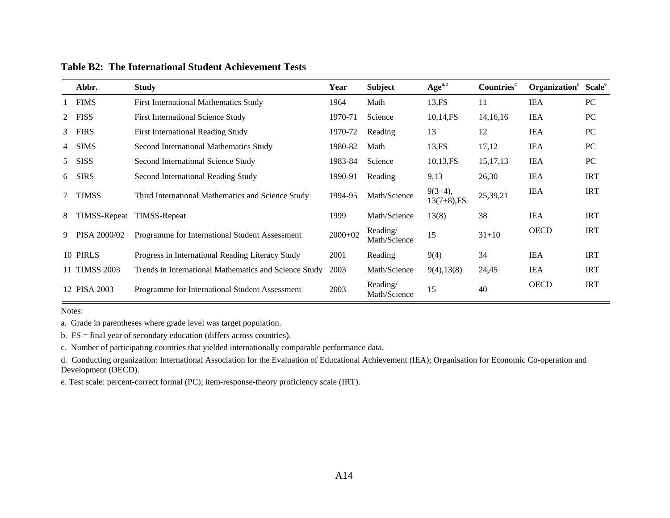|   | Abbr.         | <b>Study</b>                                          | Year      | <b>Subject</b>           | $Age^{a,b}$                  | Countries <sup>c</sup> | Organization <sup>d</sup> | Scale <sup>e</sup> |
|---|---------------|-------------------------------------------------------|-----------|--------------------------|------------------------------|------------------------|---------------------------|--------------------|
|   | 1 FIMS        | <b>First International Mathematics Study</b>          | 1964      | Math                     | 13.FS                        | 11                     | <b>IEA</b>                | PC                 |
| 2 | <b>FISS</b>   | <b>First International Science Study</b>              | 1970-71   | Science                  | 10,14,FS                     | 14, 16, 16             | <b>IEA</b>                | PC                 |
| 3 | <b>FIRS</b>   | <b>First International Reading Study</b>              | 1970-72   | Reading                  | 13                           | 12                     | <b>IEA</b>                | PC                 |
| 4 | <b>SIMS</b>   | Second International Mathematics Study                | 1980-82   | Math                     | 13, FS                       | 17,12                  | <b>IEA</b>                | PC                 |
| 5 | <b>SISS</b>   | Second International Science Study                    | 1983-84   | Science                  | 10,13,FS                     | 15, 17, 13             | <b>IEA</b>                | PC                 |
| 6 | <b>SIRS</b>   | Second International Reading Study                    | 1990-91   | Reading                  | 9,13                         | 26,30                  | <b>IEA</b>                | <b>IRT</b>         |
| 7 | <b>TIMSS</b>  | Third International Mathematics and Science Study     | 1994-95   | Math/Science             | $9(3+4)$ ,<br>$13(7+8)$ , FS | 25,39,21               | <b>IEA</b>                | <b>IRT</b>         |
| 8 | TIMSS-Repeat  | <b>TIMSS-Repeat</b>                                   | 1999      | Math/Science             | 13(8)                        | 38                     | <b>IEA</b>                | <b>IRT</b>         |
| 9 | PISA 2000/02  | Programme for International Student Assessment        | $2000+02$ | Reading/<br>Math/Science | 15                           | $31 + 10$              | <b>OECD</b>               | <b>IRT</b>         |
|   | 10 PIRLS      | Progress in International Reading Literacy Study      | 2001      | Reading                  | 9(4)                         | 34                     | <b>IEA</b>                | <b>IRT</b>         |
|   | 11 TIMSS 2003 | Trends in International Mathematics and Science Study | 2003      | Math/Science             | 9(4), 13(8)                  | 24,45                  | <b>IEA</b>                | <b>IRT</b>         |
|   | 12 PISA 2003  | Programme for International Student Assessment        | 2003      | Reading/<br>Math/Science | 15                           | 40                     | <b>OECD</b>               | <b>IRT</b>         |

**Table B2: The International Student Achievement Tests** 

Notes:

a. Grade in parentheses where grade level was target population.

b. FS = final year of secondary education (differs across countries).

c. Number of participating countries that yielded internationally comparable performance data.

d. Conducting organization: International Association for the Evaluation of Educational Achievement (IEA); Organisation for Economic Co-operation and Development (OECD).

e. Test scale: percent-correct formal (PC); item-response-theory proficiency scale (IRT).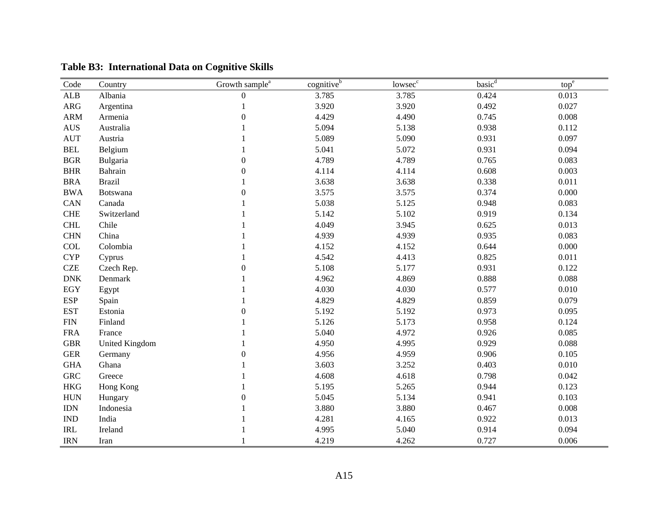| Code                               | Country        | Growth sample <sup>a</sup> | $c$ ognitive $\overline{e^b}$ | lowsec <sup>c</sup> | basic <sup>d</sup> | top <sup>e</sup> |
|------------------------------------|----------------|----------------------------|-------------------------------|---------------------|--------------------|------------------|
| ${\sf ALB}$                        | Albania        | $\overline{0}$             | 3.785                         | 3.785               | 0.424              | 0.013            |
| <b>ARG</b>                         | Argentina      | 1                          | 3.920                         | 3.920               | 0.492              | 0.027            |
| <b>ARM</b>                         | Armenia        | $\boldsymbol{0}$           | 4.429                         | 4.490               | 0.745              | 0.008            |
| $\mathbf{A}\mathbf{U}\mathbf{S}$   | Australia      |                            | 5.094                         | 5.138               | 0.938              | 0.112            |
| <b>AUT</b>                         | Austria        |                            | 5.089                         | 5.090               | 0.931              | 0.097            |
| <b>BEL</b>                         | Belgium        |                            | 5.041                         | 5.072               | 0.931              | 0.094            |
| <b>BGR</b>                         | Bulgaria       | $\boldsymbol{0}$           | 4.789                         | 4.789               | 0.765              | 0.083            |
| <b>BHR</b>                         | Bahrain        | $\overline{0}$             | 4.114                         | 4.114               | 0.608              | 0.003            |
| <b>BRA</b>                         | <b>Brazil</b>  |                            | 3.638                         | 3.638               | 0.338              | 0.011            |
| <b>BWA</b>                         | Botswana       | $\overline{0}$             | 3.575                         | 3.575               | 0.374              | 0.000            |
| CAN                                | Canada         |                            | 5.038                         | 5.125               | 0.948              | 0.083            |
| <b>CHE</b>                         | Switzerland    |                            | 5.142                         | 5.102               | 0.919              | 0.134            |
| <b>CHL</b>                         | Chile          |                            | 4.049                         | 3.945               | 0.625              | 0.013            |
| <b>CHN</b>                         | China          |                            | 4.939                         | 4.939               | 0.935              | 0.083            |
| COL                                | Colombia       |                            | 4.152                         | 4.152               | 0.644              | 0.000            |
| <b>CYP</b>                         | Cyprus         |                            | 4.542                         | 4.413               | 0.825              | 0.011            |
| <b>CZE</b>                         | Czech Rep.     | $\Omega$                   | 5.108                         | 5.177               | 0.931              | 0.122            |
| <b>DNK</b>                         | Denmark        |                            | 4.962                         | 4.869               | 0.888              | 0.088            |
| <b>EGY</b>                         | Egypt          |                            | 4.030                         | 4.030               | 0.577              | 0.010            |
| <b>ESP</b>                         | Spain          |                            | 4.829                         | 4.829               | 0.859              | 0.079            |
| <b>EST</b>                         | Estonia        | $\boldsymbol{0}$           | 5.192                         | 5.192               | 0.973              | 0.095            |
| ${\rm FIN}$                        | Finland        |                            | 5.126                         | 5.173               | 0.958              | 0.124            |
| <b>FRA</b>                         | France         |                            | 5.040                         | 4.972               | 0.926              | 0.085            |
| <b>GBR</b>                         | United Kingdom |                            | 4.950                         | 4.995               | 0.929              | 0.088            |
| <b>GER</b>                         | Germany        | 0                          | 4.956                         | 4.959               | 0.906              | 0.105            |
| <b>GHA</b>                         | Ghana          |                            | 3.603                         | 3.252               | 0.403              | 0.010            |
| <b>GRC</b>                         | Greece         |                            | 4.608                         | 4.618               | 0.798              | 0.042            |
| <b>HKG</b>                         | Hong Kong      |                            | 5.195                         | 5.265               | 0.944              | 0.123            |
| <b>HUN</b>                         | Hungary        | $\theta$                   | 5.045                         | 5.134               | 0.941              | 0.103            |
| $\mathop{\rm IDN}\nolimits$        | Indonesia      |                            | 3.880                         | 3.880               | 0.467              | 0.008            |
| $\mathop{\rm IND}\nolimits$        | India          |                            | 4.281                         | 4.165               | 0.922              | 0.013            |
| $\ensuremath{\mathsf{IRL}}\xspace$ | Ireland        |                            | 4.995                         | 5.040               | 0.914              | 0.094            |
| <b>IRN</b>                         | Iran           |                            | 4.219                         | 4.262               | 0.727              | 0.006            |

**Table B3: International Data on Cognitive Skills**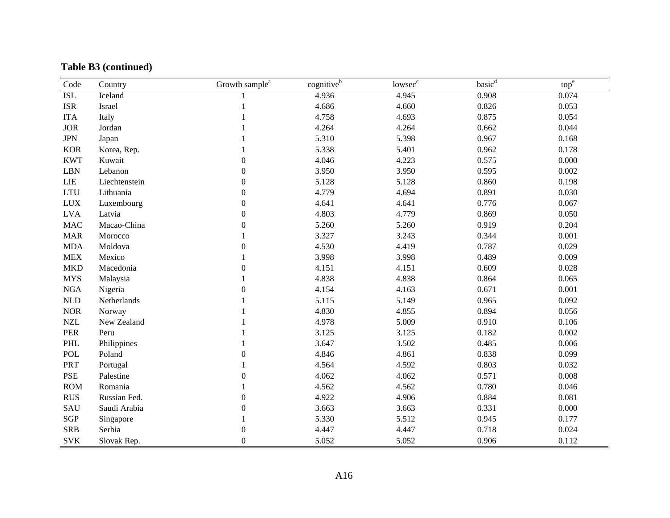## **Table B3 (continued)**

| Code                 | Country       | Growth sample <sup>a</sup> | cognitiveb | lowsec <sup>c</sup> | basic <sup>d</sup> | tope  |
|----------------------|---------------|----------------------------|------------|---------------------|--------------------|-------|
| $\operatorname{ISL}$ | Iceland       |                            | 4.936      | 4.945               | 0.908              | 0.074 |
| $_{\rm ISR}$         | Israel        |                            | 4.686      | 4.660               | 0.826              | 0.053 |
| <b>ITA</b>           | Italy         |                            | 4.758      | 4.693               | 0.875              | 0.054 |
| <b>JOR</b>           | Jordan        |                            | 4.264      | 4.264               | 0.662              | 0.044 |
| <b>JPN</b>           | Japan         |                            | 5.310      | 5.398               | 0.967              | 0.168 |
| <b>KOR</b>           | Korea, Rep.   |                            | 5.338      | 5.401               | 0.962              | 0.178 |
| <b>KWT</b>           | Kuwait        | $\boldsymbol{0}$           | 4.046      | 4.223               | 0.575              | 0.000 |
| <b>LBN</b>           | Lebanon       | $\boldsymbol{0}$           | 3.950      | 3.950               | 0.595              | 0.002 |
| <b>LIE</b>           | Liechtenstein | $\Omega$                   | 5.128      | 5.128               | 0.860              | 0.198 |
| <b>LTU</b>           | Lithuania     | $\theta$                   | 4.779      | 4.694               | 0.891              | 0.030 |
| <b>LUX</b>           | Luxembourg    | $\theta$                   | 4.641      | 4.641               | 0.776              | 0.067 |
| <b>LVA</b>           | Latvia        | $\theta$                   | 4.803      | 4.779               | 0.869              | 0.050 |
| $\rm MAC$            | Macao-China   | $\boldsymbol{0}$           | 5.260      | 5.260               | 0.919              | 0.204 |
| <b>MAR</b>           | Morocco       |                            | 3.327      | 3.243               | 0.344              | 0.001 |
| <b>MDA</b>           | Moldova       | $\Omega$                   | 4.530      | 4.419               | 0.787              | 0.029 |
| <b>MEX</b>           | Mexico        |                            | 3.998      | 3.998               | 0.489              | 0.009 |
| <b>MKD</b>           | Macedonia     | $\theta$                   | 4.151      | 4.151               | 0.609              | 0.028 |
| <b>MYS</b>           | Malaysia      |                            | 4.838      | 4.838               | 0.864              | 0.065 |
| $_{\rm NGA}$         | Nigeria       | $\overline{0}$             | 4.154      | 4.163               | 0.671              | 0.001 |
| NLD                  | Netherlands   |                            | 5.115      | 5.149               | 0.965              | 0.092 |
| <b>NOR</b>           | Norway        |                            | 4.830      | 4.855               | 0.894              | 0.056 |
| $\sf NZL$            | New Zealand   |                            | 4.978      | 5.009               | 0.910              | 0.106 |
| PER                  | Peru          |                            | 3.125      | 3.125               | 0.182              | 0.002 |
| PHL                  | Philippines   |                            | 3.647      | 3.502               | 0.485              | 0.006 |
| <b>POL</b>           | Poland        | $\overline{0}$             | 4.846      | 4.861               | 0.838              | 0.099 |
| PRT                  | Portugal      |                            | 4.564      | 4.592               | 0.803              | 0.032 |
| PSE                  | Palestine     | $\theta$                   | 4.062      | 4.062               | 0.571              | 0.008 |
| <b>ROM</b>           | Romania       |                            | 4.562      | 4.562               | 0.780              | 0.046 |
| <b>RUS</b>           | Russian Fed.  | $\theta$                   | 4.922      | 4.906               | 0.884              | 0.081 |
| SAU                  | Saudi Arabia  | $\overline{0}$             | 3.663      | 3.663               | 0.331              | 0.000 |
| <b>SGP</b>           | Singapore     |                            | 5.330      | 5.512               | 0.945              | 0.177 |
| <b>SRB</b>           | Serbia        | $\overline{0}$             | 4.447      | 4.447               | 0.718              | 0.024 |
| <b>SVK</b>           | Slovak Rep.   | $\boldsymbol{0}$           | 5.052      | 5.052               | 0.906              | 0.112 |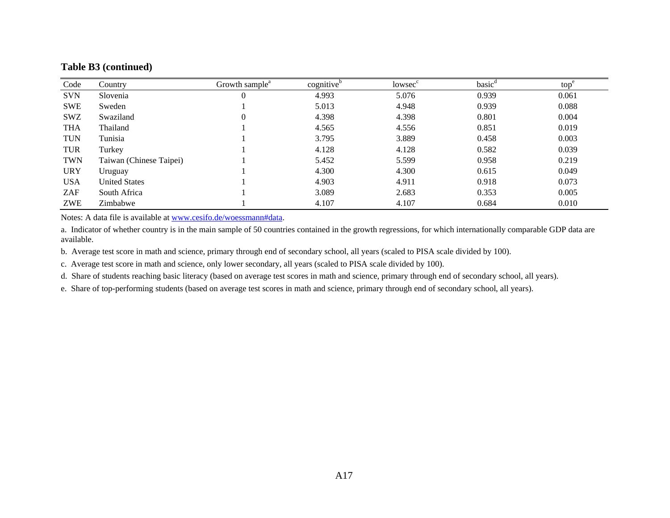#### **Table B3 (continued)**

| Code       | Country                 | Growth sample <sup>a</sup> | cognitive <sup>b</sup> | lowsec <sup>c</sup> | basic <sup>d</sup> | top <sup>e</sup> |
|------------|-------------------------|----------------------------|------------------------|---------------------|--------------------|------------------|
| <b>SVN</b> | Slovenia                |                            | 4.993                  | 5.076               | 0.939              | 0.061            |
| <b>SWE</b> | Sweden                  |                            | 5.013                  | 4.948               | 0.939              | 0.088            |
| <b>SWZ</b> | Swaziland               |                            | 4.398                  | 4.398               | 0.801              | 0.004            |
| <b>THA</b> | Thailand                |                            | 4.565                  | 4.556               | 0.851              | 0.019            |
| <b>TUN</b> | Tunisia                 |                            | 3.795                  | 3.889               | 0.458              | 0.003            |
| <b>TUR</b> | Turkey                  |                            | 4.128                  | 4.128               | 0.582              | 0.039            |
| <b>TWN</b> | Taiwan (Chinese Taipei) |                            | 5.452                  | 5.599               | 0.958              | 0.219            |
| <b>URY</b> | Uruguay                 |                            | 4.300                  | 4.300               | 0.615              | 0.049            |
| <b>USA</b> | <b>United States</b>    |                            | 4.903                  | 4.911               | 0.918              | 0.073            |
| ZAF        | South Africa            |                            | 3.089                  | 2.683               | 0.353              | 0.005            |
| ZWE        | Zimbabwe                |                            | 4.107                  | 4.107               | 0.684              | 0.010            |

Notes: A data file is available at www.cesifo.de/woessmann#data.

a. Indicator of whether country is in the main sample of 50 countries contained in the growth regressions, for which internationally comparable GDP data are available.

b. Average test score in math and science, primary through end of secondary school, all years (scaled to PISA scale divided by 100).

c. Average test score in math and science, only lower secondary, all years (scaled to PISA scale divided by 100).

d. Share of students reaching basic literacy (based on average test scores in math and science, primary through end of secondary school, all years).

e. Share of top-performing students (based on average test scores in math and science, primary through end of secondary school, all years).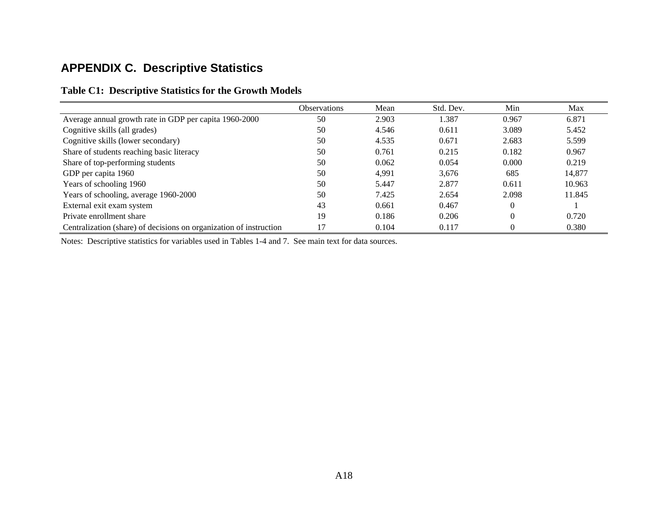# **APPENDIX C. Descriptive Statistics**

|                                                                    | Observations | Mean  | Std. Dev. | Min      | Max    |
|--------------------------------------------------------------------|--------------|-------|-----------|----------|--------|
| Average annual growth rate in GDP per capita 1960-2000             | 50           | 2.903 | 1.387     | 0.967    | 6.871  |
| Cognitive skills (all grades)                                      | 50           | 4.546 | 0.611     | 3.089    | 5.452  |
| Cognitive skills (lower secondary)                                 | 50           | 4.535 | 0.671     | 2.683    | 5.599  |
| Share of students reaching basic literacy                          | 50           | 0.761 | 0.215     | 0.182    | 0.967  |
| Share of top-performing students                                   | 50           | 0.062 | 0.054     | 0.000    | 0.219  |
| GDP per capita 1960                                                | 50           | 4.991 | 3,676     | 685      | 14.877 |
| Years of schooling 1960                                            | 50           | 5.447 | 2.877     | 0.611    | 10.963 |
| Years of schooling, average 1960-2000                              | 50           | 7.425 | 2.654     | 2.098    | 11.845 |
| External exit exam system                                          | 43           | 0.661 | 0.467     | 0        |        |
| Private enrollment share                                           | 19           | 0.186 | 0.206     | $\theta$ | 0.720  |
| Centralization (share) of decisions on organization of instruction | 17           | 0.104 | 0.117     | 0        | 0.380  |

#### **Table C1: Descriptive Statistics for the Growth Models**

Notes: Descriptive statistics for variables used in Tables 1-4 and 7. See main text for data sources.